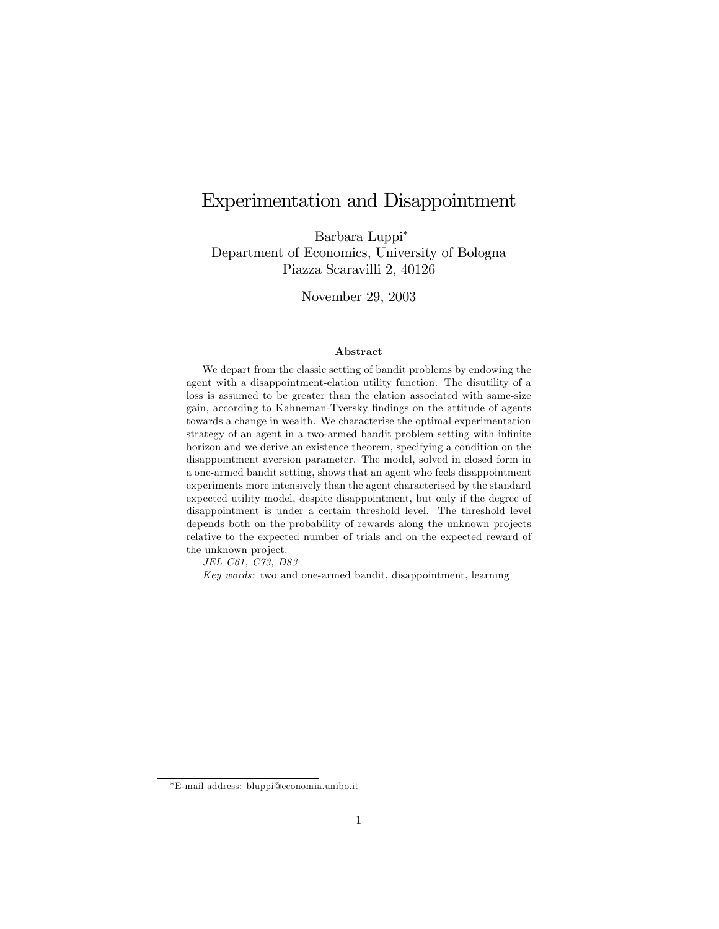# Experimentation and Disappointment

Barbara Luppi Department of Economics, University of Bologna Piazza Scaravilli 2, 40126

November 29, 2003

#### Abstract

We depart from the classic setting of bandit problems by endowing the agent with a disappointment-elation utility function. The disutility of a loss is assumed to be greater than the elation associated with same-size gain, according to Kahneman-Tversky Öndings on the attitude of agents towards a change in wealth. We characterise the optimal experimentation strategy of an agent in a two-armed bandit problem setting with infinite horizon and we derive an existence theorem, specifying a condition on the disappointment aversion parameter. The model, solved in closed form in a one-armed bandit setting, shows that an agent who feels disappointment experiments more intensively than the agent characterised by the standard expected utility model, despite disappointment, but only if the degree of disappointment is under a certain threshold level. The threshold level depends both on the probability of rewards along the unknown projects relative to the expected number of trials and on the expected reward of the unknown project.

JEL C61, C73, D83

Key words: two and one-armed bandit, disappointment, learning

E-mail address: bluppi@economia.unibo.it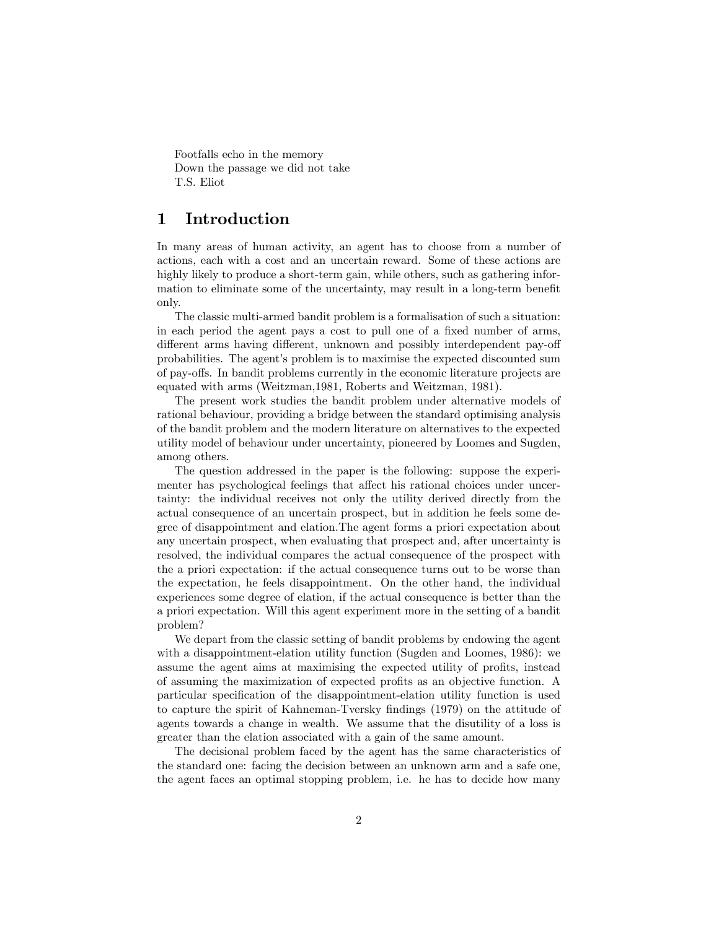Footfalls echo in the memory Down the passage we did not take T.S. Eliot

## 1 Introduction

In many areas of human activity, an agent has to choose from a number of actions, each with a cost and an uncertain reward. Some of these actions are highly likely to produce a short-term gain, while others, such as gathering information to eliminate some of the uncertainty, may result in a long-term benefit only.

The classic multi-armed bandit problem is a formalisation of such a situation: in each period the agent pays a cost to pull one of a fixed number of arms, different arms having different, unknown and possibly interdependent pay-off probabilities. The agent's problem is to maximise the expected discounted sum of pay-offs. In bandit problems currently in the economic literature projects are equated with arms (Weitzman,1981, Roberts and Weitzman, 1981).

The present work studies the bandit problem under alternative models of rational behaviour, providing a bridge between the standard optimising analysis of the bandit problem and the modern literature on alternatives to the expected utility model of behaviour under uncertainty, pioneered by Loomes and Sugden, among others.

The question addressed in the paper is the following: suppose the experimenter has psychological feelings that affect his rational choices under uncertainty: the individual receives not only the utility derived directly from the actual consequence of an uncertain prospect, but in addition he feels some degree of disappointment and elation.The agent forms a priori expectation about any uncertain prospect, when evaluating that prospect and, after uncertainty is resolved, the individual compares the actual consequence of the prospect with the a priori expectation: if the actual consequence turns out to be worse than the expectation, he feels disappointment. On the other hand, the individual experiences some degree of elation, if the actual consequence is better than the a priori expectation. Will this agent experiment more in the setting of a bandit problem?

We depart from the classic setting of bandit problems by endowing the agent with a disappointment-elation utility function (Sugden and Loomes, 1986): we assume the agent aims at maximising the expected utility of profits, instead of assuming the maximization of expected profits as an objective function. A particular speciÖcation of the disappointment-elation utility function is used to capture the spirit of Kahneman-Tversky Öndings (1979) on the attitude of agents towards a change in wealth. We assume that the disutility of a loss is greater than the elation associated with a gain of the same amount.

The decisional problem faced by the agent has the same characteristics of the standard one: facing the decision between an unknown arm and a safe one, the agent faces an optimal stopping problem, i.e. he has to decide how many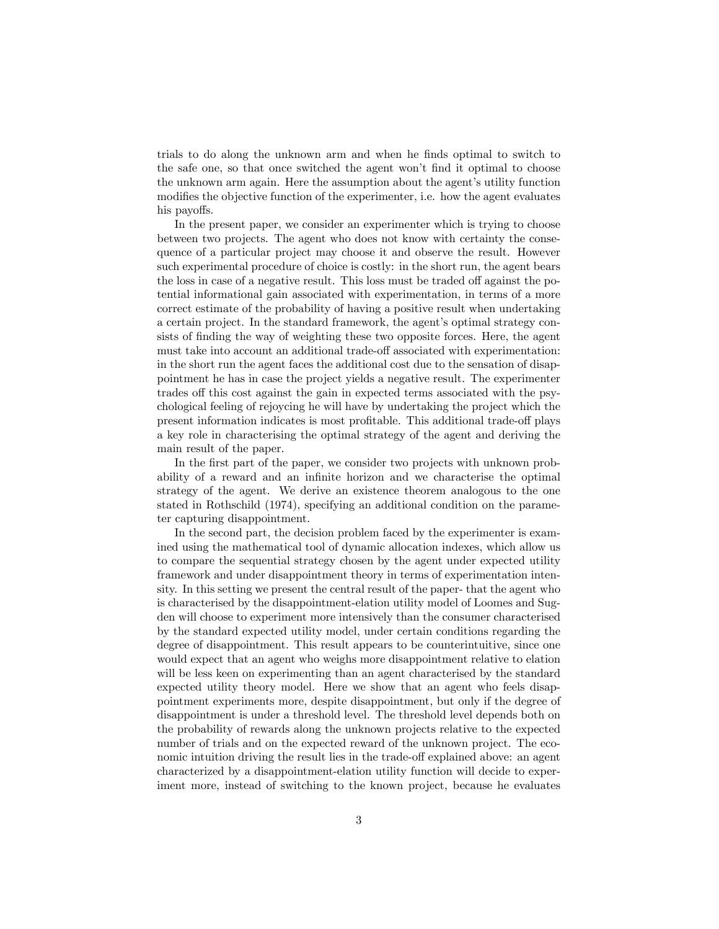trials to do along the unknown arm and when he finds optimal to switch to the safe one, so that once switched the agent won't find it optimal to choose the unknown arm again. Here the assumption about the agent's utility function modifies the objective function of the experimenter, i.e. how the agent evaluates his payoffs.

In the present paper, we consider an experimenter which is trying to choose between two projects. The agent who does not know with certainty the consequence of a particular project may choose it and observe the result. However such experimental procedure of choice is costly: in the short run, the agent bears the loss in case of a negative result. This loss must be traded off against the potential informational gain associated with experimentation, in terms of a more correct estimate of the probability of having a positive result when undertaking a certain project. In the standard framework, the agent's optimal strategy consists of finding the way of weighting these two opposite forces. Here, the agent must take into account an additional trade-off associated with experimentation: in the short run the agent faces the additional cost due to the sensation of disappointment he has in case the project yields a negative result. The experimenter trades off this cost against the gain in expected terms associated with the psychological feeling of rejoycing he will have by undertaking the project which the present information indicates is most profitable. This additional trade-off plays a key role in characterising the optimal strategy of the agent and deriving the main result of the paper.

In the first part of the paper, we consider two projects with unknown probability of a reward and an infinite horizon and we characterise the optimal strategy of the agent. We derive an existence theorem analogous to the one stated in Rothschild (1974), specifying an additional condition on the parameter capturing disappointment.

In the second part, the decision problem faced by the experimenter is examined using the mathematical tool of dynamic allocation indexes, which allow us to compare the sequential strategy chosen by the agent under expected utility framework and under disappointment theory in terms of experimentation intensity. In this setting we present the central result of the paper- that the agent who is characterised by the disappointment-elation utility model of Loomes and Sugden will choose to experiment more intensively than the consumer characterised by the standard expected utility model, under certain conditions regarding the degree of disappointment. This result appears to be counterintuitive, since one would expect that an agent who weighs more disappointment relative to elation will be less keen on experimenting than an agent characterised by the standard expected utility theory model. Here we show that an agent who feels disappointment experiments more, despite disappointment, but only if the degree of disappointment is under a threshold level. The threshold level depends both on the probability of rewards along the unknown projects relative to the expected number of trials and on the expected reward of the unknown project. The economic intuition driving the result lies in the trade-off explained above: an agent characterized by a disappointment-elation utility function will decide to experiment more, instead of switching to the known project, because he evaluates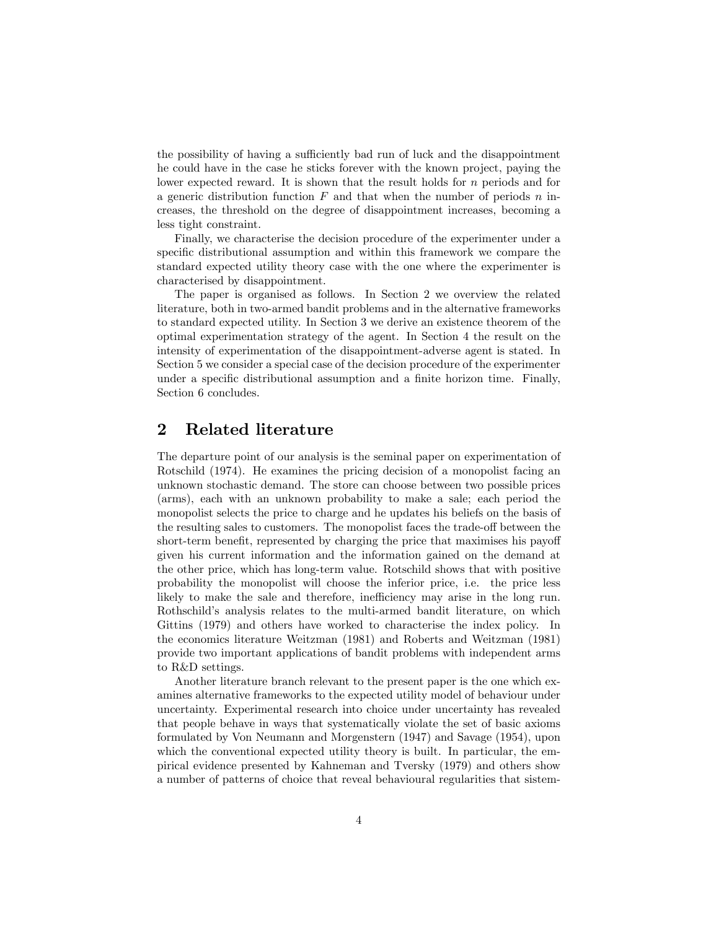the possibility of having a sufficiently bad run of luck and the disappointment he could have in the case he sticks forever with the known project, paying the lower expected reward. It is shown that the result holds for n periods and for a generic distribution function  $F$  and that when the number of periods  $n$  increases, the threshold on the degree of disappointment increases, becoming a less tight constraint.

Finally, we characterise the decision procedure of the experimenter under a specific distributional assumption and within this framework we compare the standard expected utility theory case with the one where the experimenter is characterised by disappointment.

The paper is organised as follows. In Section 2 we overview the related literature, both in two-armed bandit problems and in the alternative frameworks to standard expected utility. In Section 3 we derive an existence theorem of the optimal experimentation strategy of the agent. In Section 4 the result on the intensity of experimentation of the disappointment-adverse agent is stated. In Section 5 we consider a special case of the decision procedure of the experimenter under a specific distributional assumption and a finite horizon time. Finally, Section 6 concludes.

## 2 Related literature

The departure point of our analysis is the seminal paper on experimentation of Rotschild (1974). He examines the pricing decision of a monopolist facing an unknown stochastic demand. The store can choose between two possible prices (arms), each with an unknown probability to make a sale; each period the monopolist selects the price to charge and he updates his beliefs on the basis of the resulting sales to customers. The monopolist faces the trade-off between the short-term benefit, represented by charging the price that maximises his payoff given his current information and the information gained on the demand at the other price, which has long-term value. Rotschild shows that with positive probability the monopolist will choose the inferior price, i.e. the price less likely to make the sale and therefore, inefficiency may arise in the long run. Rothschild's analysis relates to the multi-armed bandit literature, on which Gittins (1979) and others have worked to characterise the index policy. In the economics literature Weitzman (1981) and Roberts and Weitzman (1981) provide two important applications of bandit problems with independent arms to R&D settings.

Another literature branch relevant to the present paper is the one which examines alternative frameworks to the expected utility model of behaviour under uncertainty. Experimental research into choice under uncertainty has revealed that people behave in ways that systematically violate the set of basic axioms formulated by Von Neumann and Morgenstern (1947) and Savage (1954), upon which the conventional expected utility theory is built. In particular, the empirical evidence presented by Kahneman and Tversky (1979) and others show a number of patterns of choice that reveal behavioural regularities that sistem-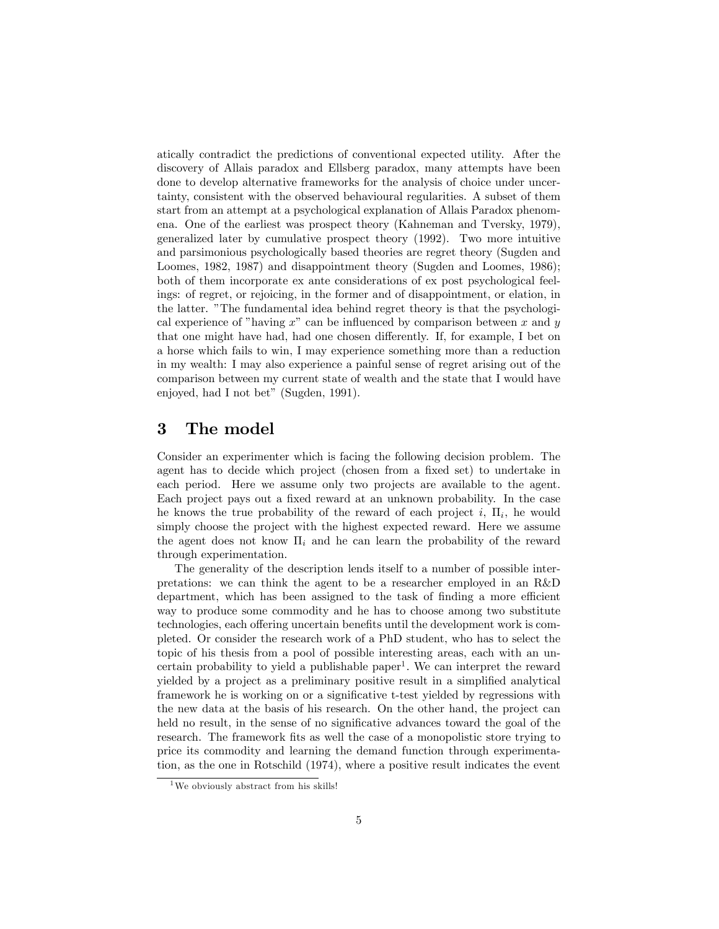atically contradict the predictions of conventional expected utility. After the discovery of Allais paradox and Ellsberg paradox, many attempts have been done to develop alternative frameworks for the analysis of choice under uncertainty, consistent with the observed behavioural regularities. A subset of them start from an attempt at a psychological explanation of Allais Paradox phenomena. One of the earliest was prospect theory (Kahneman and Tversky, 1979), generalized later by cumulative prospect theory (1992). Two more intuitive and parsimonious psychologically based theories are regret theory (Sugden and Loomes, 1982, 1987) and disappointment theory (Sugden and Loomes, 1986); both of them incorporate ex ante considerations of ex post psychological feelings: of regret, or rejoicing, in the former and of disappointment, or elation, in the latter. "The fundamental idea behind regret theory is that the psychological experience of "having  $x$ " can be influenced by comparison between  $x$  and  $y$ that one might have had, had one chosen differently. If, for example, I bet on a horse which fails to win, I may experience something more than a reduction in my wealth: I may also experience a painful sense of regret arising out of the comparison between my current state of wealth and the state that I would have enjoyed, had I not bet" (Sugden, 1991).

## 3 The model

Consider an experimenter which is facing the following decision problem. The agent has to decide which project (chosen from a fixed set) to undertake in each period. Here we assume only two projects are available to the agent. Each project pays out a fixed reward at an unknown probability. In the case he knows the true probability of the reward of each project  $i$ ,  $\Pi_i$ , he would simply choose the project with the highest expected reward. Here we assume the agent does not know  $\Pi_i$  and he can learn the probability of the reward through experimentation.

The generality of the description lends itself to a number of possible interpretations: we can think the agent to be a researcher employed in an R&D department, which has been assigned to the task of finding a more efficient way to produce some commodity and he has to choose among two substitute technologies, each offering uncertain benefits until the development work is completed. Or consider the research work of a PhD student, who has to select the topic of his thesis from a pool of possible interesting areas, each with an uncertain probability to yield a publishable paper<sup>1</sup>. We can interpret the reward yielded by a project as a preliminary positive result in a simplified analytical framework he is working on or a significative t-test yielded by regressions with the new data at the basis of his research. On the other hand, the project can held no result, in the sense of no significative advances toward the goal of the research. The framework fits as well the case of a monopolistic store trying to price its commodity and learning the demand function through experimentation, as the one in Rotschild (1974), where a positive result indicates the event

 $1$ We obviously abstract from his skills!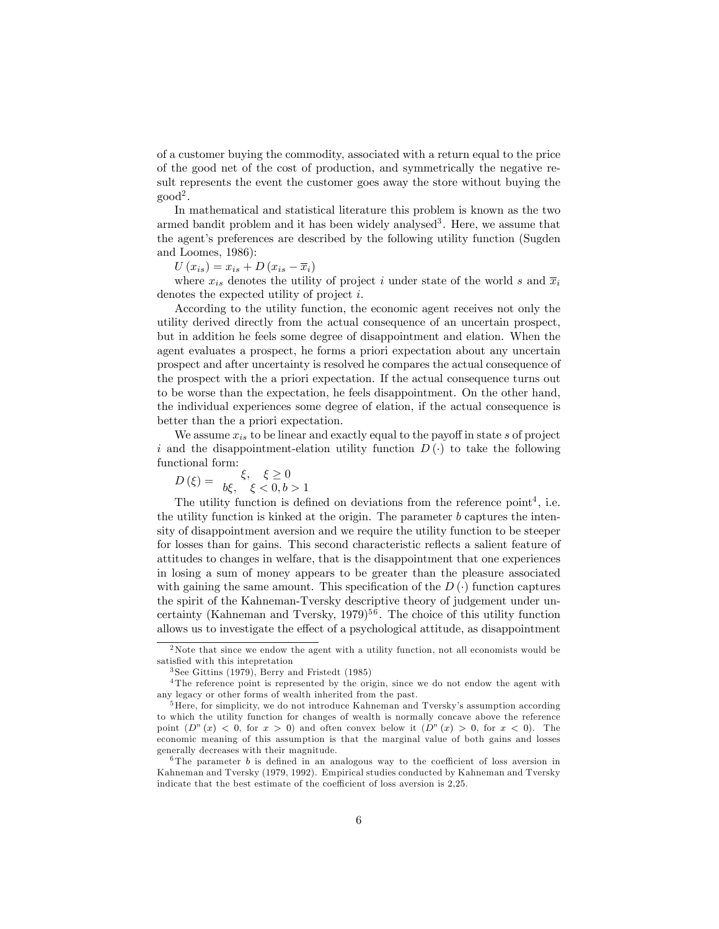of a customer buying the commodity, associated with a return equal to the price of the good net of the cost of production, and symmetrically the negative result represents the event the customer goes away the store without buying the  $\text{good}^2$ .

In mathematical and statistical literature this problem is known as the two armed bandit problem and it has been widely analysed<sup>3</sup>. Here, we assume that the agent's preferences are described by the following utility function (Sugden and Loomes, 1986):

 $U(x_{is}) = x_{is} + D(x_{is} - \overline{x}_i)$ 

where  $x_{is}$  denotes the utility of project i under state of the world s and  $\overline{x}_i$ denotes the expected utility of project i.

According to the utility function, the economic agent receives not only the utility derived directly from the actual consequence of an uncertain prospect, but in addition he feels some degree of disappointment and elation. When the agent evaluates a prospect, he forms a priori expectation about any uncertain prospect and after uncertainty is resolved he compares the actual consequence of the prospect with the a priori expectation. If the actual consequence turns out to be worse than the expectation, he feels disappointment. On the other hand, the individual experiences some degree of elation, if the actual consequence is better than the a priori expectation.

We assume  $x_{is}$  to be linear and exactly equal to the payoff in state s of project i and the disappointment-elation utility function  $D(\cdot)$  to take the following functional form:

$$
D(\xi) = \frac{\xi, \xi \ge 0}{b\xi, \xi < 0, b > 1}
$$

The utility function is defined on deviations from the reference  $point<sup>4</sup>$ , i.e. the utility function is kinked at the origin. The parameter  $b$  captures the intensity of disappointment aversion and we require the utility function to be steeper for losses than for gains. This second characteristic reflects a salient feature of attitudes to changes in welfare, that is the disappointment that one experiences in losing a sum of money appears to be greater than the pleasure associated with gaining the same amount. This specification of the  $D(\cdot)$  function captures the spirit of the Kahneman-Tversky descriptive theory of judgement under uncertainty (Kahneman and Tversky,  $1979$ )<sup>56</sup>. The choice of this utility function allows us to investigate the effect of a psychological attitude, as disappointment

<sup>2</sup>Note that since we endow the agent with a utility function, not all economists would be satisfied with this intepretation

<sup>3</sup> See Gittins (1979), Berry and Fristedt (1985)

<sup>&</sup>lt;sup>4</sup>The reference point is represented by the origin, since we do not endow the agent with any legacy or other forms of wealth inherited from the past.

 ${}^{5}$ Here, for simplicity, we do not introduce Kahneman and Tversky's assumption according to which the utility function for changes of wealth is normally concave above the reference point  $(D''(x) < 0$ , for  $x > 0$ ) and often convex below it  $(D''(x) > 0$ , for  $x < 0$ ). The economic meaning of this assumption is that the marginal value of both gains and losses generally decreases with their magnitude.

 $6$ The parameter b is defined in an analogous way to the coefficient of loss aversion in Kahneman and Tversky (1979, 1992). Empirical studies conducted by Kahneman and Tversky indicate that the best estimate of the coefficient of loss aversion is 2,25.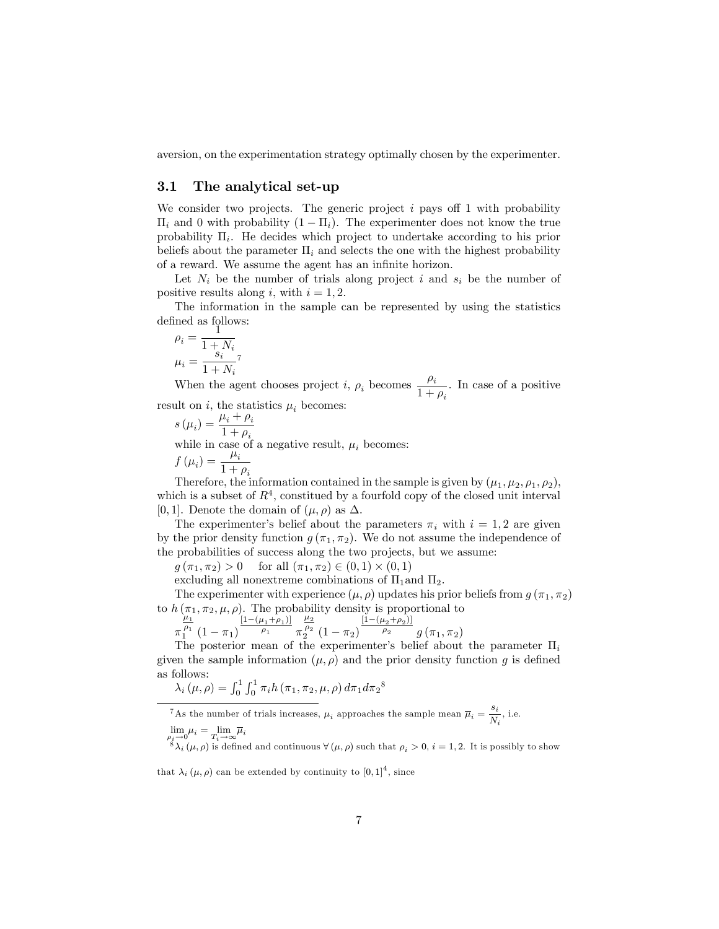aversion, on the experimentation strategy optimally chosen by the experimenter.

### 3.1 The analytical set-up

We consider two projects. The generic project  $i$  pays of 1 with probability  $\prod_i$  and 0 with probability  $(1 - \prod_i)$ . The experimenter does not know the true probability  $\Pi_i$ . He decides which project to undertake according to his prior beliefs about the parameter  $\Pi_i$  and selects the one with the highest probability of a reward. We assume the agent has an infinite horizon.

Let  $N_i$  be the number of trials along project i and  $s_i$  be the number of positive results along i, with  $i = 1, 2$ .

The information in the sample can be represented by using the statistics defined as follows:  $\frac{1}{1}$ 

$$
\rho_i = \frac{1}{1 + N_i}
$$

$$
\mu_i = \frac{s_i}{1 + N_i}^7
$$

When the agent chooses project *i*,  $\rho_i$  becomes  $\frac{\rho_i}{1+\rho_i}$ . In case of a positive result on *i*, the statistics  $\mu_i$  becomes:

 $s(\mu_i) = \frac{\mu_i + \rho_i}{1 + \rho_i}$  $1 + \rho_i$ while in case of a negative result,  $\mu_i$  becomes:  $f(\mu_i) = \frac{\mu_i}{1+i}$  $1 + \rho_i$ 

Therefore, the information contained in the sample is given by  $(\mu_1, \mu_2, \rho_1, \rho_2)$ , which is a subset of  $R<sup>4</sup>$ , constitued by a fourfold copy of the closed unit interval [0, 1]. Denote the domain of  $(\mu, \rho)$  as  $\Delta$ .

The experimenter's belief about the parameters  $\pi_i$  with  $i = 1, 2$  are given by the prior density function  $g(\pi_1, \pi_2)$ . We do not assume the independence of the probabilities of success along the two projects, but we assume:

 $g(\pi_1, \pi_2) > 0$  for all  $(\pi_1, \pi_2) \in (0, 1) \times (0, 1)$ 

excluding all nonextreme combinations of  $\Pi_1$  and  $\Pi_2$ .

The experimenter with experience  $(\mu, \rho)$  updates his prior beliefs from  $g(\pi_1, \pi_2)$ to  $h(\pi_1, \pi_2, \mu, \rho)$ . The probability density is proportional to

$$
\frac{\mu_1}{\pi_1^{\rho_1}} \frac{\left[1-(\mu_1+\rho_1)\right]}{\left(1-\pi_1\right)} \frac{\mu_2}{\rho_1} \frac{\mu_2}{\pi_2^{\rho_2}} \left(1-\pi_2\right) \frac{\left[1-(\mu_2+\rho_2)\right]}{\rho_2} g\left(\pi_1,\pi_2\right)
$$

The posterior mean of the experimenter's belief about the parameter  $\Pi_i$ given the sample information  $(\mu, \rho)$  and the prior density function q is defined as follows:

$$
\lambda_i(\mu,\rho) = \int_0^1 \int_0^1 \pi_i h(\pi_1,\pi_2,\mu,\rho) d\pi_1 d\pi_2^8
$$

<sup>7</sup>As the number of trials increases,  $\mu_i$  approaches the sample mean  $\bar{\mu}_i = \frac{s_i}{N}$  $\frac{S_i}{N_i}$ , i.e.

$$
\lim_{\rho_i \to 0} \mu_i = \lim_{T_i \to \infty} \overline{\mu}_i
$$

 $\lim_{\rho_i \to 0} \mu_i = \lim_{T_i \to \infty} \overline{\mu}_i$ <br>  ${}^8\lambda_i (\mu, \rho)$  is defined and continuous  $\forall (\mu, \rho)$  such that  $\rho_i > 0$ ,  $i = 1, 2$ . It is possibly to show

that  $\lambda_i (\mu, \rho)$  can be extended by continuity to  $[0, 1]^4$ , since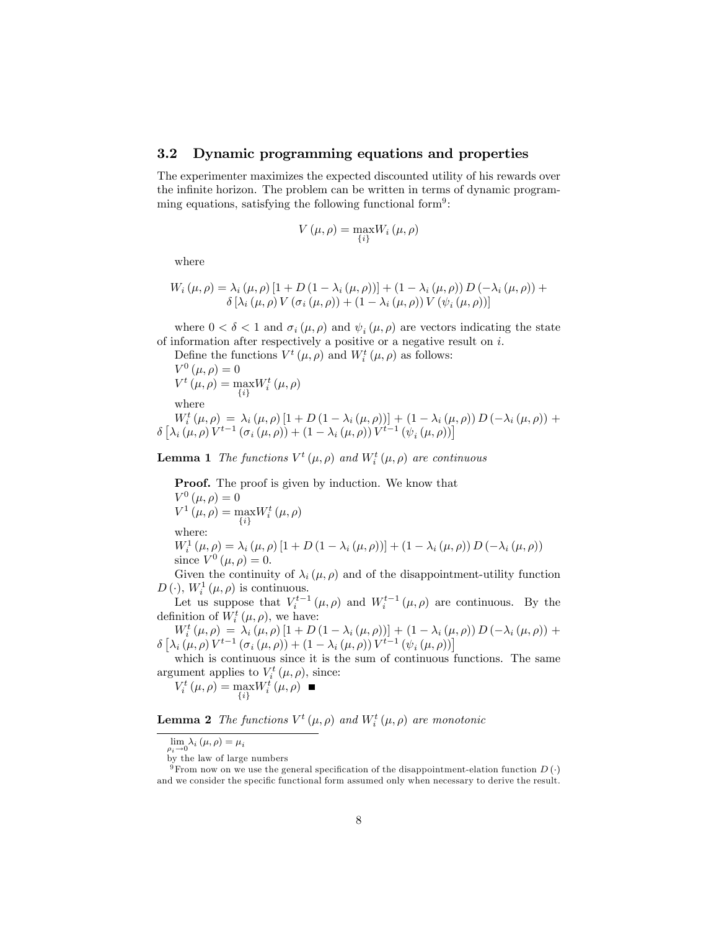### 3.2 Dynamic programming equations and properties

The experimenter maximizes the expected discounted utility of his rewards over the infinite horizon. The problem can be written in terms of dynamic programming equations, satisfying the following functional form<sup>9</sup>:

$$
V\left(\mu,\rho\right)=\max_{\left\{ i\right\} }W_{i}\left(\mu,\rho\right)
$$

where

$$
W_i(\mu, \rho) = \lambda_i(\mu, \rho) \left[1 + D\left(1 - \lambda_i(\mu, \rho)\right)\right] + \left(1 - \lambda_i(\mu, \rho)\right) D\left(-\lambda_i(\mu, \rho)\right) + \delta \left[\lambda_i(\mu, \rho) V\left(\sigma_i(\mu, \rho)\right) + \left(1 - \lambda_i(\mu, \rho)\right) V\left(\psi_i(\mu, \rho)\right)\right]
$$

where  $0 < \delta < 1$  and  $\sigma_i(\mu, \rho)$  and  $\psi_i(\mu, \rho)$  are vectors indicating the state of information after respectively a positive or a negative result on  $i$ .

Define the functions  $V^t(\mu, \rho)$  and  $W_i^t(\mu, \rho)$  as follows:

 $V^{0}(\mu,\rho) = 0$  $V^t(\mu,\rho) = \max$  $\{i\}$  $W_i^t\left(\mu,\rho\right)$ 

where

 $W_{i}^{t}(\mu, \rho) = \lambda_{i}(\mu, \rho) \left[1 + D\left(1 - \lambda_{i}(\mu, \rho)\right)\right] + \left(1 - \lambda_{i}(\mu, \rho)\right) D\left(-\lambda_{i}(\mu, \rho)\right) +$  $\delta \left[ \lambda_i \left( \mu, \rho \right) V^{t-1} \left( \sigma_i \left( \mu, \rho \right) \right) + \left( 1 - \lambda_i \left( \mu, \rho \right) \right) V^{t-1} \left( \psi_i \left( \mu, \rho \right) \right) \right]$ 

**Lemma 1** The functions  $V^t(\mu, \rho)$  and  $W_i^t(\mu, \rho)$  are continuous

Proof. The proof is given by induction. We know that  $V^{0}(\mu,\rho) = 0$  $V^1(\mu,\rho) = \max$  $\{i\}$  $W_i^t\left(\mu,\rho\right)$ where:

 $W_{i}^{1}(\mu,\rho) = \lambda_{i}(\mu,\rho) [1 + D (1 - \lambda_{i}(\mu,\rho))] + (1 - \lambda_{i}(\mu,\rho)) D (\lambda_{i}(\mu,\rho))$ since  $V^{0}(\mu, \rho) = 0$ .

Given the continuity of  $\lambda_i (\mu, \rho)$  and of the disappointment-utility function  $D\left(\cdot\right)$ ,  $W_i^1\left(\mu,\rho\right)$  is continuous.

Let us suppose that  $V_i^{t-1}(\mu,\rho)$  and  $W_i^{t-1}(\mu,\rho)$  are continuous. By the definition of  $W_i^t(\mu, \rho)$ , we have:

 $W_{i}^{t}(\mu, \rho) = \lambda_{i}(\mu, \rho) \left[1 + D\left(1 - \lambda_{i}(\mu, \rho)\right)\right] + \left(1 - \lambda_{i}(\mu, \rho)\right) D\left(-\lambda_{i}(\mu, \rho)\right) +$  $\delta \left[ \lambda_i \left( \mu, \rho \right) V^{t-1} \left( \sigma_i \left( \mu, \rho \right) \right) + \left( 1 - \lambda_i \left( \mu, \rho \right) \right) V^{t-1} \left( \psi_i \left( \mu, \rho \right) \right) \right]$ 

which is continuous since it is the sum of continuous functions. The same argument applies to  $V_i^t(\mu, \rho)$ , since:

 $V_i^t(\mu,\rho) = \max_{i,j}$  $\{i\}$  $W_i^t\left(\mu,\rho\right)$ 

**Lemma 2** The functions  $V^t(\mu, \rho)$  and  $W_i^t(\mu, \rho)$  are monotonic

 $\lim_{\rho_i \to 0} \lambda_i (\mu, \rho) = \mu_i$ 

by the law of large numbers

<sup>&</sup>lt;sup>9</sup> From now on we use the general specification of the disappointment-elation function  $D(\cdot)$ 

and we consider the specific functional form assumed only when necessary to derive the result.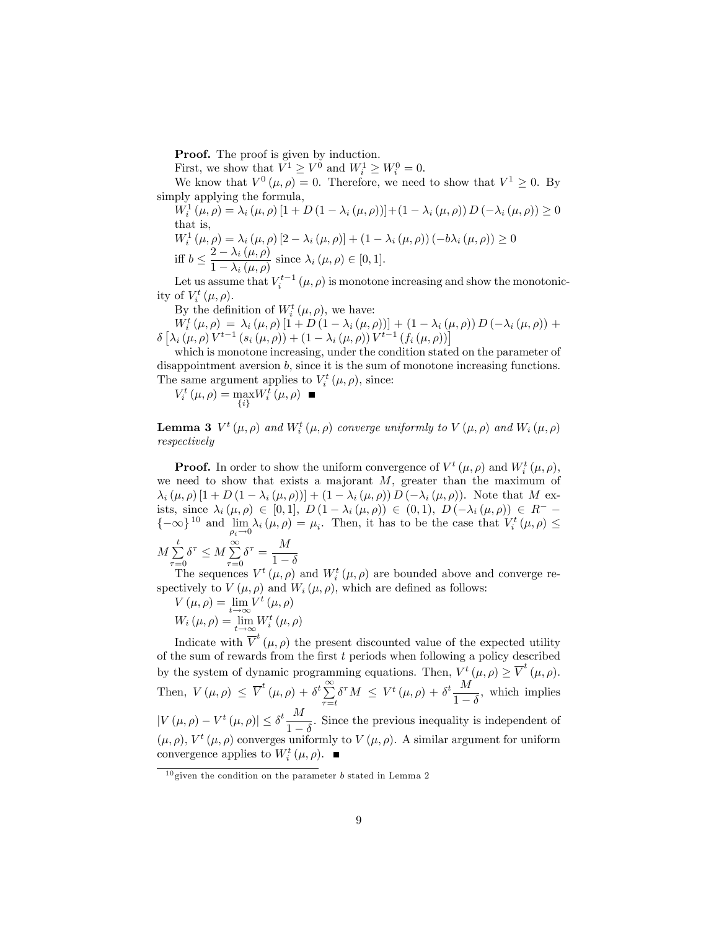Proof. The proof is given by induction.

First, we show that  $V^1 \geq V^0$  and  $W_i^1 \geq W_i^0 = 0$ .

We know that  $V^0(\mu, \rho) = 0$ . Therefore, we need to show that  $V^1 \geq 0$ . By simply applying the formula,

 $W_{i}^{1}(\mu,\rho) = \lambda_{i}(\mu,\rho) [1 + D (1 - \lambda_{i}(\mu,\rho))] + (1 - \lambda_{i}(\mu,\rho)) D (-\lambda_{i}(\mu,\rho)) \ge 0$ that is,  $W_{i}^{1}(\mu,\rho) = \lambda_{i}(\mu,\rho)[2 - \lambda_{i}(\mu,\rho)] + (1 - \lambda_{i}(\mu,\rho))(-b\lambda_{i}(\mu,\rho)) \ge 0$ 

$$
\text{iff } b \le \frac{2 - \lambda_i(\mu, \rho)}{1 - \lambda_i(\mu, \rho)} \text{ since } \lambda_i(\mu, \rho) \in [0, 1].
$$

Let us assume that  $V_i^{t-1}(\mu,\rho)$  is monotone increasing and show the monotonicity of  $V_i^t(\mu, \rho)$ .

By the definition of  $W_i^t(\mu, \rho)$ , we have:

 $W_{i}^{t}(\mu, \rho) = \lambda_{i}(\mu, \rho) \left[1 + D\left(1 - \lambda_{i}(\mu, \rho)\right)\right] + \left(1 - \lambda_{i}(\mu, \rho)\right) D\left(-\lambda_{i}(\mu, \rho)\right) +$  $\delta \left[ \lambda_{i} \left( \mu, \rho \right) V^{t-1} \left( s_{i} \left( \mu, \rho \right) \right) + \left( 1 - \lambda_{i} \left( \mu, \rho \right) \right) V^{t-1} \left( f_{i} \left( \mu, \rho \right) \right) \right]$ 

which is monotone increasing, under the condition stated on the parameter of disappointment aversion b, since it is the sum of monotone increasing functions. The same argument applies to  $V_i^t(\mu, \rho)$ , since:

 $V_i^t(\mu,\rho) = \max_{i,j}$  $\{i\}$  $W_i^t\left(\mu,\rho\right)$ 

**Lemma 3**  $V^t(\mu, \rho)$  and  $W_i^t(\mu, \rho)$  converge uniformly to  $V(\mu, \rho)$  and  $W_i(\mu, \rho)$ respectively

**Proof.** In order to show the uniform convergence of  $V^t(\mu, \rho)$  and  $W_i^t(\mu, \rho)$ , we need to show that exists a majorant  $M$ , greater than the maximum of  $\lambda_i (\mu, \rho) [1 + D (1 - \lambda_i (\mu, \rho))] + (1 - \lambda_i (\mu, \rho)) D (-\lambda_i (\mu, \rho)).$  Note that M exists, since  $\lambda_i (\mu, \rho) \in [0, 1], D (1 - \lambda_i (\mu, \rho)) \in (0, 1), D (-\lambda_i (\mu, \rho)) \in R^ \{-\infty\}^{10}$  and  $\lim_{\rho_i \to 0} \lambda_i(\mu, \rho) = \mu_i$ . Then, it has to be the case that  $V_i^t(\mu, \rho) \le$ 

$$
M\sum_{\tau=0}^{t} \delta^{\tau} \le M\sum_{\tau=0}^{\infty} \delta^{\tau} = \frac{M}{1-\delta}
$$

The sequences  $V^t(\mu, \rho)$  and  $W_i^t(\mu, \rho)$  are bounded above and converge respectively to  $V(\mu, \rho)$  and  $W_i(\mu, \rho)$ , which are defined as follows:

 $V(\mu, \rho) = \lim_{t \to \infty} V^t(\mu, \rho)$ 

 $W_i \left( \mu, \rho \right) = \lim_{t \to \infty} W_i^t \left( \mu, \rho \right)$ 

Indicate with  $\overline{V}^t(\mu,\rho)$  the present discounted value of the expected utility of the sum of rewards from the first  $t$  periods when following a policy described by the system of dynamic programming equations. Then,  $V^t(\mu, \rho) \geq \overline{V}^t(\mu, \rho)$ . Then,  $V(\mu, \rho) \leq \overline{V}^t(\mu, \rho) + \delta^t \sum_{n=1}^{\infty}$  $\sum_{\tau=t}^{\infty} \delta^{\tau} M \leq V^t (\mu, \rho) + \delta^t \frac{M}{1-\rho}$  $\frac{1}{1-\delta}$ , which implies  $|V(\mu, \rho) - V^t(\mu, \rho)| \leq \delta^t \frac{M}{1 - \rho}$  $\frac{1}{1-\delta}$ . Since the previous inequality is independent of  $(\mu, \rho)$ ,  $V^t(\mu, \rho)$  converges uniformly to  $V(\mu, \rho)$ . A similar argument for uniform convergence applies to  $W_i^t(\mu, \rho)$ .

 $10$  given the condition on the parameter b stated in Lemma 2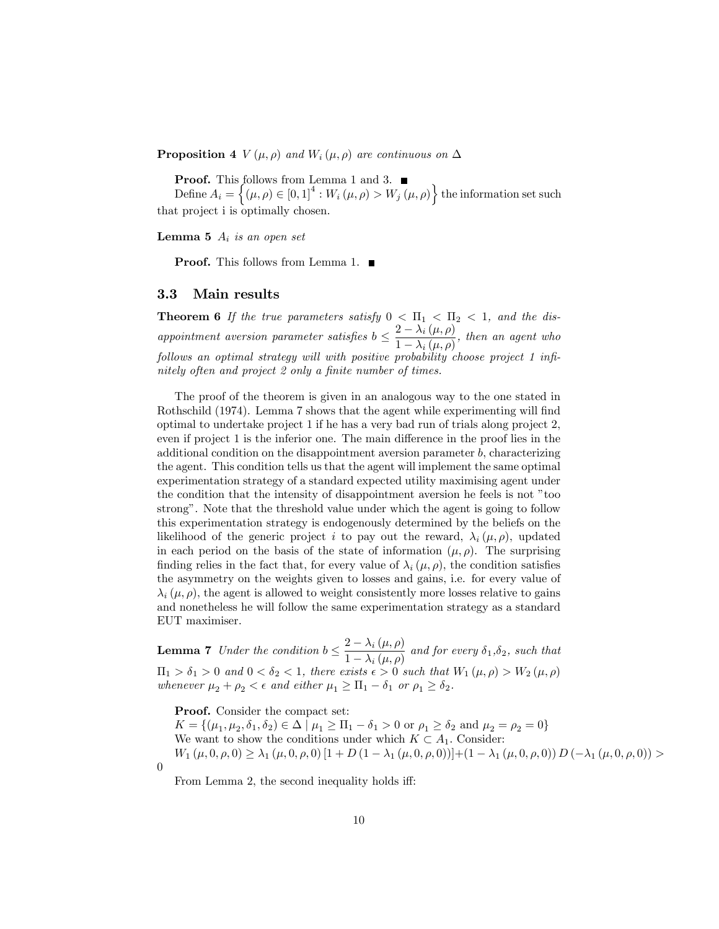**Proposition 4**  $V(\mu, \rho)$  and  $W_i(\mu, \rho)$  are continuous on  $\Delta$ 

Proof. This follows from Lemma 1 and 3.

Define  $A_i = \{(\mu, \rho) \in [0, 1]^4 : W_i(\mu, \rho) > W_j(\mu, \rho) \}$  the information set such that project i is optimally chosen.

**Lemma 5**  $A_i$  is an open set

**Proof.** This follows from Lemma 1. ■

#### 3.3 Main results

**Theorem 6** If the true parameters satisfy  $0 < \Pi_1 < \Pi_2 < 1$ , and the disappointment aversion parameter satisfies  $b \leq \frac{2 - \lambda_i(\mu, \rho)}{1 - \lambda_i(\mu, \rho)}$  $\frac{2 - \lambda_i(\mu, \rho)}{1 - \lambda_i(\mu, \rho)}$ , then an agent who follows an optimal strategy will with positive probability choose project 1 infinitely often and project 2 only a finite number of times.

The proof of the theorem is given in an analogous way to the one stated in Rothschild (1974). Lemma 7 shows that the agent while experimenting will find optimal to undertake project 1 if he has a very bad run of trials along project 2, even if project 1 is the inferior one. The main difference in the proof lies in the additional condition on the disappointment aversion parameter  $b$ , characterizing the agent. This condition tells us that the agent will implement the same optimal experimentation strategy of a standard expected utility maximising agent under the condition that the intensity of disappointment aversion he feels is not "too strong". Note that the threshold value under which the agent is going to follow this experimentation strategy is endogenously determined by the beliefs on the likelihood of the generic project i to pay out the reward,  $\lambda_i (\mu, \rho)$ , updated in each period on the basis of the state of information  $(\mu, \rho)$ . The surprising finding relies in the fact that, for every value of  $\lambda_i (\mu, \rho)$ , the condition satisfies the asymmetry on the weights given to losses and gains, i.e. for every value of  $\lambda_i (\mu, \rho)$ , the agent is allowed to weight consistently more losses relative to gains and nonetheless he will follow the same experimentation strategy as a standard EUT maximiser.

**Lemma 7** Under the condition  $b \leq \frac{2 - \lambda_i(\mu, \rho)}{1 - \lambda_i(\mu, \rho)}$  $\frac{1}{1 - \lambda_i (\mu, \rho)}$  and for every  $\delta_1, \delta_2$ , such that  $\Pi_1 > \delta_1 > 0$  and  $0 < \delta_2 < 1$ , there exists  $\epsilon > 0$  such that  $W_1(\mu, \rho) > W_2(\mu, \rho)$ whenever  $\mu_2 + \rho_2 < \epsilon$  and either  $\mu_1 \geq \Pi_1 - \delta_1$  or  $\rho_1 \geq \delta_2$ .

Proof. Consider the compact set:

 $K = \{(\mu_1, \mu_2, \delta_1, \delta_2) \in \Delta \mid \mu_1 \geq \Pi_1 - \delta_1 > 0 \text{ or } \rho_1 \geq \delta_2 \text{ and } \mu_2 = \rho_2 = 0\}$ We want to show the conditions under which  $K \subset A_1$ . Consider:  $W_1(\mu, 0, \rho, 0) \geq \lambda_1(\mu, 0, \rho, 0) [1 + D(1 - \lambda_1(\mu, 0, \rho, 0))] + (1 - \lambda_1(\mu, 0, \rho, 0)) D(-\lambda_1(\mu, 0, \rho, 0)) >$ 0

From Lemma 2, the second inequality holds iff: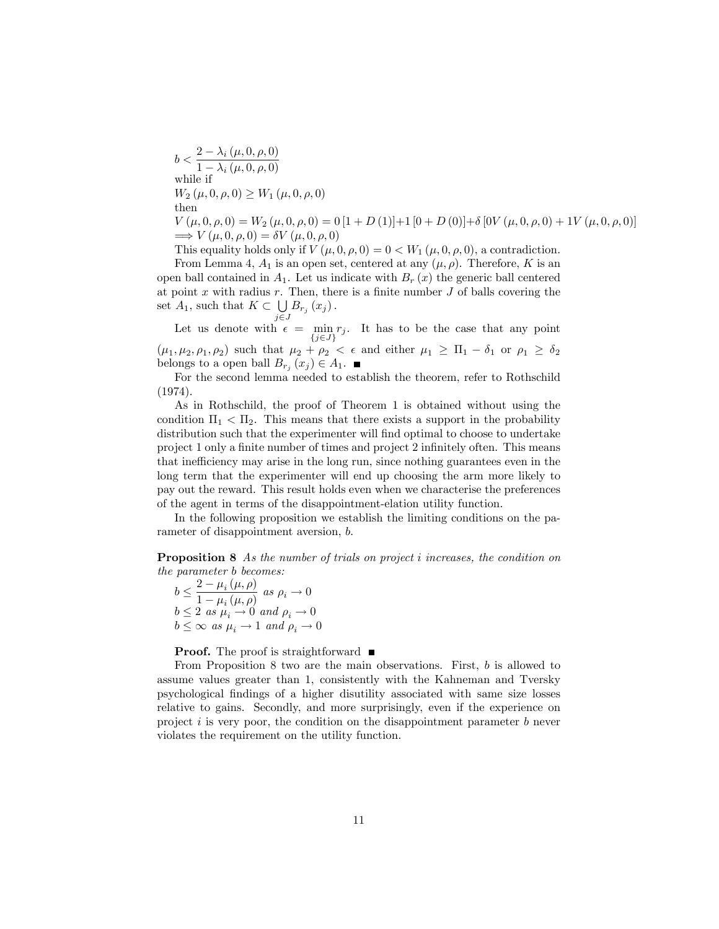$b < \frac{2 - \lambda_i(\mu, 0, \rho, 0)}{1 - \lambda_i(\mu, 0, \rho, 0)}$  $1 - \lambda_i (\mu, 0, \rho, 0)$ while if  $W_2 (\mu, 0, \rho, 0) \geq W_1 (\mu, 0, \rho, 0)$ then  $V(\mu, 0, \rho, 0) = W_2(\mu, 0, \rho, 0) = 0[1 + D(1)] + 1[0 + D(0)] + \delta[0V(\mu, 0, \rho, 0) + 1V(\mu, 0, \rho, 0)]$  $\Rightarrow V(\mu, 0, \rho, 0) = \delta V(\mu, 0, \rho, 0)$ 

This equality holds only if  $V(\mu, 0, \rho, 0) = 0 \langle W_1(\mu, 0, \rho, 0), \rho \rangle$ , a contradiction.

From Lemma 4,  $A_1$  is an open set, centered at any  $(\mu, \rho)$ . Therefore, K is an open ball contained in  $A_1$ . Let us indicate with  $B_r(x)$  the generic ball centered at point x with radius  $r$ . Then, there is a finite number  $J$  of balls covering the set  $A_1$ , such that  $K \subset \bigcup_{i \in I} B_{r_i}(x_i)$ .

Let us denote with  $\epsilon = \min$  $\min_{\{j\in J\}} r_j$ . It has to be the case that any point  $(\mu_1, \mu_2, \rho_1, \rho_2)$  such that  $\mu_2 + \rho_2 < \epsilon$  and either  $\mu_1 \geq \Pi_1 - \delta_1$  or  $\rho_1 \geq \delta_2$ belongs to a open ball  $B_{r_j}(x_j) \in A_1$ .

For the second lemma needed to establish the theorem, refer to Rothschild (1974).

As in Rothschild, the proof of Theorem 1 is obtained without using the condition  $\Pi_1 < \Pi_2$ . This means that there exists a support in the probability distribution such that the experimenter will find optimal to choose to undertake project 1 only a finite number of times and project 2 infinitely often. This means that inefficiency may arise in the long run, since nothing guarantees even in the long term that the experimenter will end up choosing the arm more likely to pay out the reward. This result holds even when we characterise the preferences of the agent in terms of the disappointment-elation utility function.

In the following proposition we establish the limiting conditions on the parameter of disappointment aversion, b.

Proposition 8 As the number of trials on project i increases, the condition on the parameter b becomes:

 $b \leq \frac{2 - \mu_i(\mu, \rho)}{1 - \mu_i(\mu, \rho)}$  $\frac{1-\mu_i(\mu,\rho)}{1-\mu_i(\mu,\rho)}$  as  $\rho_i \to 0$  $b \leq 2$  as  $\mu_i \to 0$  and  $\rho_i \to 0$  $b \leq \infty$  as  $\mu_i \to 1$  and  $\rho_i \to 0$ 

**Proof.** The proof is straightforward  $\blacksquare$ 

From Proposition 8 two are the main observations. First, b is allowed to assume values greater than 1, consistently with the Kahneman and Tversky psychological Öndings of a higher disutility associated with same size losses relative to gains. Secondly, and more surprisingly, even if the experience on project  $i$  is very poor, the condition on the disappointment parameter  $b$  never violates the requirement on the utility function.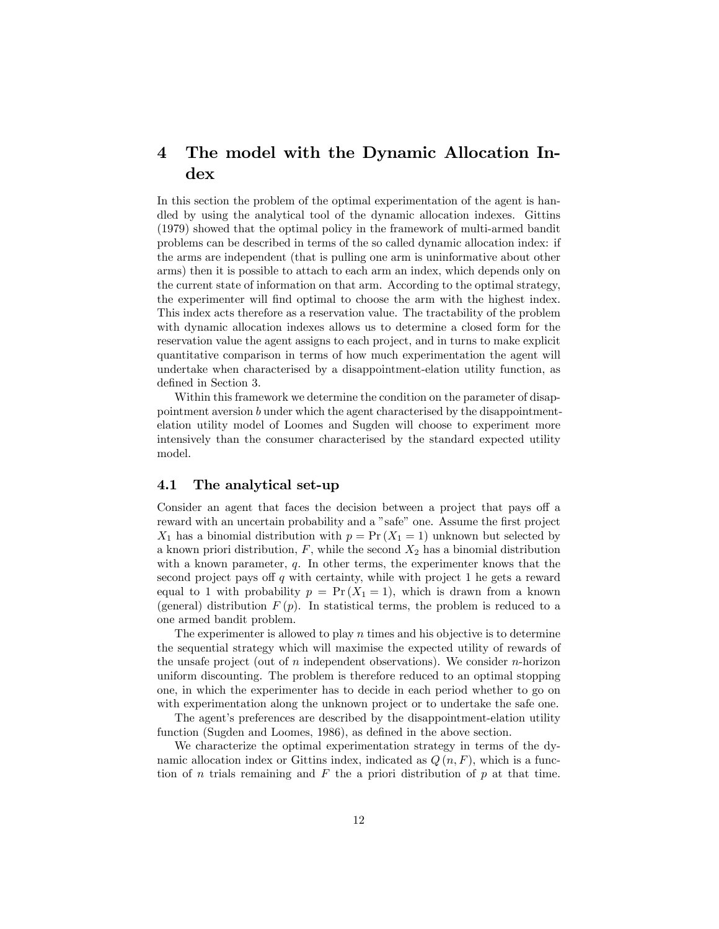## 4 The model with the Dynamic Allocation Index

In this section the problem of the optimal experimentation of the agent is handled by using the analytical tool of the dynamic allocation indexes. Gittins (1979) showed that the optimal policy in the framework of multi-armed bandit problems can be described in terms of the so called dynamic allocation index: if the arms are independent (that is pulling one arm is uninformative about other arms) then it is possible to attach to each arm an index, which depends only on the current state of information on that arm. According to the optimal strategy, the experimenter will find optimal to choose the arm with the highest index. This index acts therefore as a reservation value. The tractability of the problem with dynamic allocation indexes allows us to determine a closed form for the reservation value the agent assigns to each project, and in turns to make explicit quantitative comparison in terms of how much experimentation the agent will undertake when characterised by a disappointment-elation utility function, as defined in Section 3.

Within this framework we determine the condition on the parameter of disappointment aversion b under which the agent characterised by the disappointmentelation utility model of Loomes and Sugden will choose to experiment more intensively than the consumer characterised by the standard expected utility model.

### 4.1 The analytical set-up

Consider an agent that faces the decision between a project that pays off a reward with an uncertain probability and a "safe" one. Assume the first project  $X_1$  has a binomial distribution with  $p = Pr(X_1 = 1)$  unknown but selected by a known priori distribution,  $F$ , while the second  $X_2$  has a binomial distribution with a known parameter, q. In other terms, the experimenter knows that the second project pays of  $q$  with certainty, while with project 1 he gets a reward equal to 1 with probability  $p = Pr(X_1 = 1)$ , which is drawn from a known (general) distribution  $F(p)$ . In statistical terms, the problem is reduced to a one armed bandit problem.

The experimenter is allowed to play  $n$  times and his objective is to determine the sequential strategy which will maximise the expected utility of rewards of the unsafe project (out of n independent observations). We consider n-horizon uniform discounting. The problem is therefore reduced to an optimal stopping one, in which the experimenter has to decide in each period whether to go on with experimentation along the unknown project or to undertake the safe one.

The agent's preferences are described by the disappointment-elation utility function (Sugden and Loomes, 1986), as defined in the above section.

We characterize the optimal experimentation strategy in terms of the dynamic allocation index or Gittins index, indicated as  $Q(n, F)$ , which is a function of n trials remaining and  $F$  the a priori distribution of  $p$  at that time.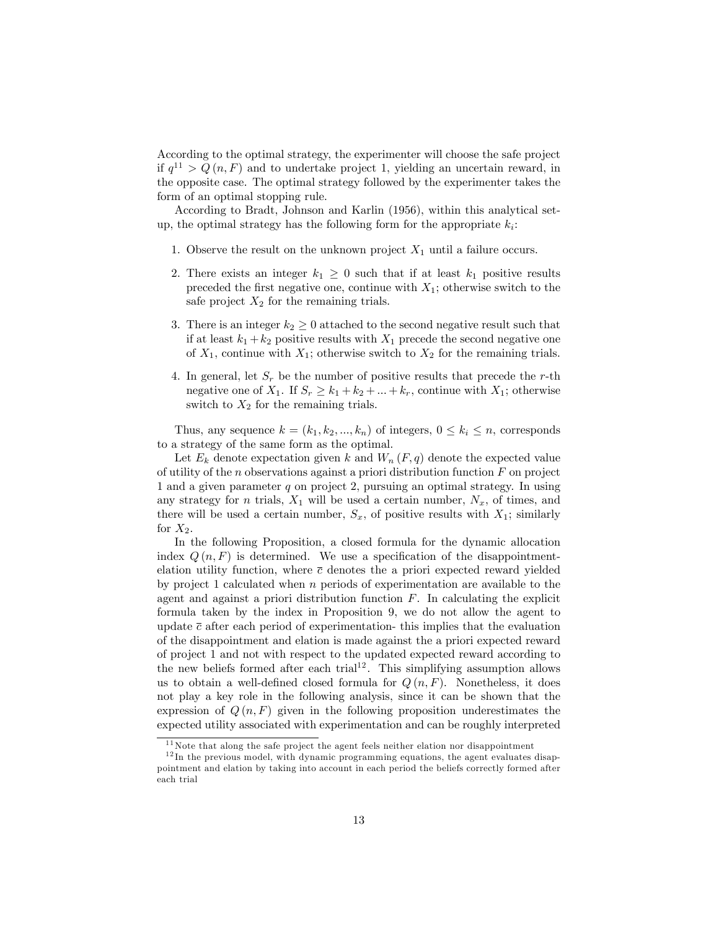According to the optimal strategy, the experimenter will choose the safe project if  $q^{11} > Q(n, F)$  and to undertake project 1, yielding an uncertain reward, in the opposite case. The optimal strategy followed by the experimenter takes the form of an optimal stopping rule.

According to Bradt, Johnson and Karlin (1956), within this analytical setup, the optimal strategy has the following form for the appropriate  $k_i$ :

- 1. Observe the result on the unknown project  $X_1$  until a failure occurs.
- 2. There exists an integer  $k_1 \geq 0$  such that if at least  $k_1$  positive results preceded the first negative one, continue with  $X_1$ ; otherwise switch to the safe project  $X_2$  for the remaining trials.
- 3. There is an integer  $k_2 \geq 0$  attached to the second negative result such that if at least  $k_1 + k_2$  positive results with  $X_1$  precede the second negative one of  $X_1$ , continue with  $X_1$ ; otherwise switch to  $X_2$  for the remaining trials.
- 4. In general, let  $S_r$  be the number of positive results that precede the r-th negative one of  $X_1$ . If  $S_r \geq k_1 + k_2 + ... + k_r$ , continue with  $X_1$ ; otherwise switch to  $X_2$  for the remaining trials.

Thus, any sequence  $k = (k_1, k_2, ..., k_n)$  of integers,  $0 \leq k_i \leq n$ , corresponds to a strategy of the same form as the optimal.

Let  $E_k$  denote expectation given k and  $W_n(F,q)$  denote the expected value of utility of the  $n$  observations against a priori distribution function  $F$  on project 1 and a given parameter  $q$  on project 2, pursuing an optimal strategy. In using any strategy for *n* trials,  $X_1$  will be used a certain number,  $N_x$ , of times, and there will be used a certain number,  $S_x$ , of positive results with  $X_1$ ; similarly for  $X_2$ .

In the following Proposition, a closed formula for the dynamic allocation index  $Q(n, F)$  is determined. We use a specification of the disappointmentelation utility function, where  $\bar{c}$  denotes the a priori expected reward yielded by project 1 calculated when n periods of experimentation are available to the agent and against a priori distribution function  $F$ . In calculating the explicit formula taken by the index in Proposition 9, we do not allow the agent to update  $\bar{c}$  after each period of experimentation- this implies that the evaluation of the disappointment and elation is made against the a priori expected reward of project 1 and not with respect to the updated expected reward according to the new beliefs formed after each trial<sup>12</sup>. This simplifying assumption allows us to obtain a well-defined closed formula for  $Q(n, F)$ . Nonetheless, it does not play a key role in the following analysis, since it can be shown that the expression of  $Q(n, F)$  given in the following proposition underestimates the expected utility associated with experimentation and can be roughly interpreted

 $11$  Note that along the safe project the agent feels neither elation nor disappointment

 $12$  In the previous model, with dynamic programming equations, the agent evaluates disappointment and elation by taking into account in each period the beliefs correctly formed after each trial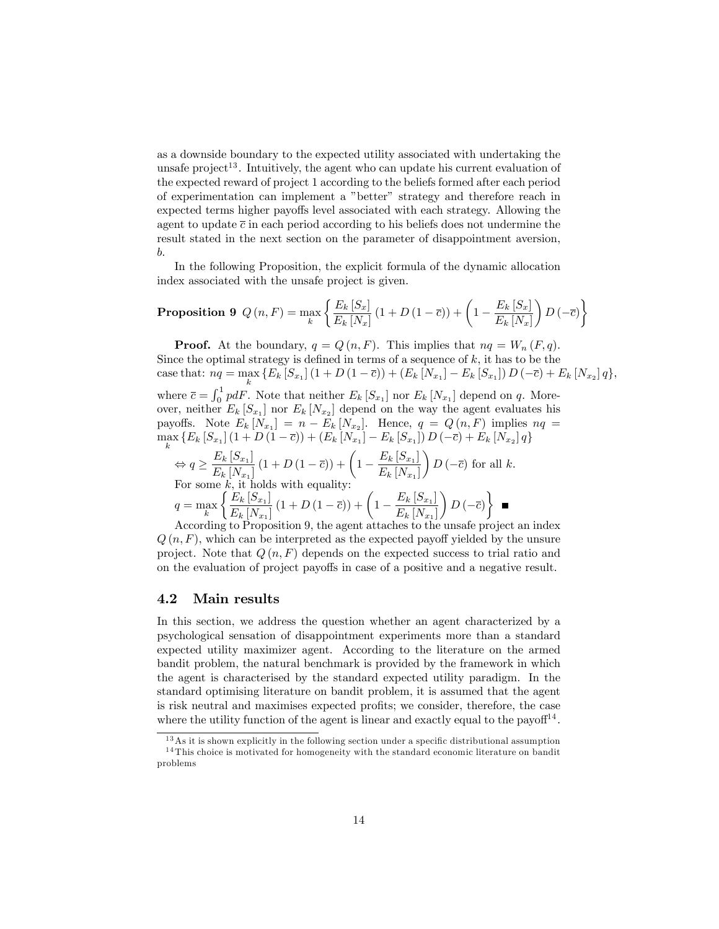as a downside boundary to the expected utility associated with undertaking the unsafe project<sup>13</sup>. Intuitively, the agent who can update his current evaluation of the expected reward of project 1 according to the beliefs formed after each period of experimentation can implement a "better" strategy and therefore reach in expected terms higher payoffs level associated with each strategy. Allowing the agent to update  $\bar{c}$  in each period according to his beliefs does not undermine the result stated in the next section on the parameter of disappointment aversion, b.

In the following Proposition, the explicit formula of the dynamic allocation index associated with the unsafe project is given.

**Proposition 9** 
$$
Q(n, F) = \max_{k} \left\{ \frac{E_k [S_x]}{E_k [N_x]} (1 + D(1 - \overline{c})) + \left( 1 - \frac{E_k [S_x]}{E_k [N_x]} \right) D(-\overline{c}) \right\}
$$

**Proof.** At the boundary,  $q = Q(n, F)$ . This implies that  $nq = W_n(F, q)$ . Since the optimal strategy is defined in terms of a sequence of  $k$ , it has to be the case that:  $nq = \max_{k} \{ E_k [S_{x_1}] (1 + D (1 - \overline{c})) + (E_k [N_{x_1}] - E_k [S_{x_1}]) D (-\overline{c}) + E_k [N_{x_2}] q \},\$ where  $\bar{c} = \int_0^1 pdF$ . Note that neither  $E_k[S_{x_1}]$  nor  $E_k[N_{x_1}]$  depend on q. Moreover, neither  $E_k[S_{x_1}]$  nor  $E_k[N_{x_2}]$  depend on the way the agent evaluates his payoffs. Note  $E_k[N_{x_1}] = n - E_k[N_{x_2}]$ . Hence,  $q = Q(n, F)$  implies  $nq =$  $\max_{k} \{ E_k [S_{x_1}] (1 + D (1 - \overline{c})) + (E_k [N_{x_1}] - E_k [S_{x_1}]) D (-\overline{c}) + E_k [N_{x_2}] q \}$ 

$$
\Leftrightarrow q \ge \frac{E_k \left[S_{x_1}\right]}{E_k \left[N_{x_1}\right]} \left(1 + D\left(1 - \overline{c}\right)\right) + \left(1 - \frac{E_k \left[S_{x_1}\right]}{E_k \left[N_{x_1}\right]}\right) D\left(-\overline{c}\right) \text{ for all } k.
$$
  
For some  $k$ , it holds with equality:  

$$
q = \max_k \left\{ \frac{E_k \left[S_{x_1}\right]}{E_k \left[N_{x_1}\right]} \left(1 + D\left(1 - \overline{c}\right)\right) + \left(1 - \frac{E_k \left[S_{x_1}\right]}{E_k \left[N_{x_1}\right]}\right) D\left(-\overline{c}\right) \right\} \blacksquare
$$

According to Proposition 9, the agent attaches to the unsafe project an index  $Q(n, F)$ , which can be interpreted as the expected payoff yielded by the unsure project. Note that  $Q(n, F)$  depends on the expected success to trial ratio and on the evaluation of project payoffs in case of a positive and a negative result.

### 4.2 Main results

In this section, we address the question whether an agent characterized by a psychological sensation of disappointment experiments more than a standard expected utility maximizer agent. According to the literature on the armed bandit problem, the natural benchmark is provided by the framework in which the agent is characterised by the standard expected utility paradigm. In the standard optimising literature on bandit problem, it is assumed that the agent is risk neutral and maximises expected profits; we consider, therefore, the case where the utility function of the agent is linear and exactly equal to the payof $f^{14}$ .

 $13$  As it is shown explicitly in the following section under a specific distributional assumption <sup>14</sup> This choice is motivated for homogeneity with the standard economic literature on bandit problems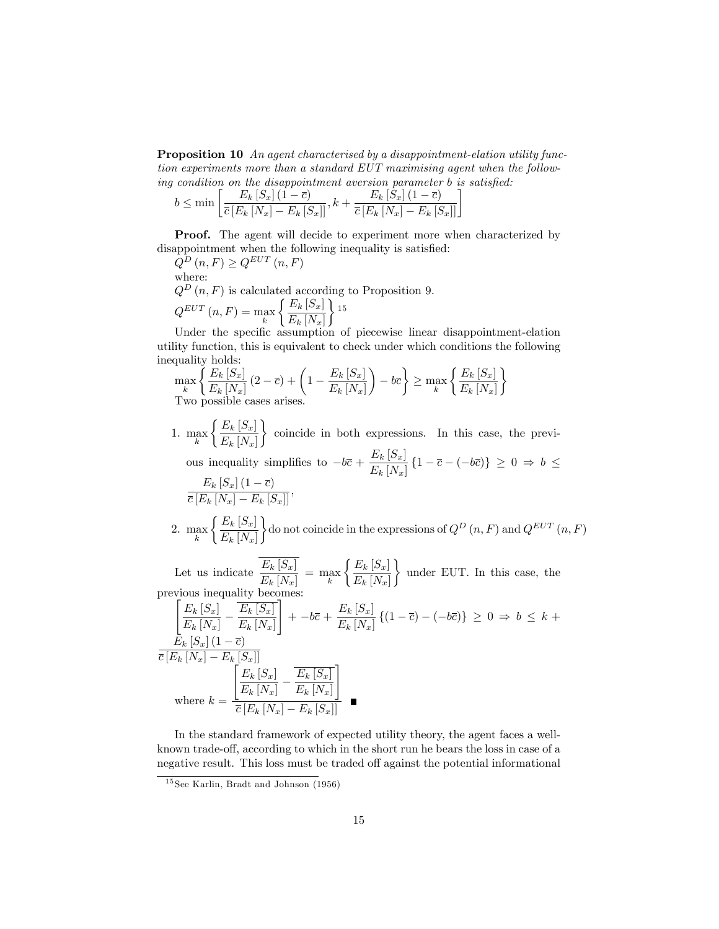Proposition 10 An agent characterised by a disappointment-elation utility function experiments more than a standard EUT maximising agent when the following condition on the disappointment aversion parameter  $b$  is satisfied:

$$
b \le \min\left[\frac{E_k\left[S_x\right]\left(1-\overline{c}\right)}{\overline{c}\left[E_k\left[N_x\right]-E_k\left[S_x\right]\right]}, k+\frac{E_k\left[\hat{S}_x\right]\left(1-\overline{c}\right)}{\overline{c}\left[E_k\left[N_x\right]-E_k\left[S_x\right]\right]}\right]
$$

**Proof.** The agent will decide to experiment more when characterized by disappointment when the following inequality is satisfied:

 $Q^D(n, F) \geq Q^{EUT}(n, F)$ where:  $Q^{D}(n, F)$  is calculated according to Proposition 9.  $\int E_k[S_x]$ 

$$
Q^{EUT}(n, F) = \max_{k} \left\{ \frac{E_k |\mathcal{S}_x|}{E_k |N_x|} \right\}^{15}
$$

Under the specific assumption of piecewise linear disappointment-elation utility function, this is equivalent to check under which conditions the following inequality holds:

$$
\max_{k} \left\{ \frac{E_k \left[ S_x \right]}{E_k \left[ N_x \right]} \left( 2 - \overline{c} \right) + \left( 1 - \frac{E_k \left[ S_x \right]}{E_k \left[ N_x \right]} \right) - b\overline{c} \right\} \ge \max_{k} \left\{ \frac{E_k \left[ S_x \right]}{E_k \left[ N_x \right]} \right\}
$$
  
Two possible cases arises.

- 1. max  $\int E_k[S_x]$  $E_k$   $[N_x]$  $\mathcal{L}$ coincide in both expressions. In this case, the previous inequality simplifies to  $-b\bar{c} + \frac{E_k [S_x]}{E_k [N_x]}$  $\frac{E_{\kappa}[\mathcal{L}x]}{E_{k}[N_{x}]}$   $\{1-\overline{c}-(-b\overline{c})\}\geq 0 \Rightarrow b \leq$  $\frac{E_k[S_x](1-\overline{c})}{\overline{c}[E_k[N_x]-E_k[S_x]]},$
- 2.  $\max_k$  $\int E_k S_x$  $E_k$   $[N_x]$  $\}$ do not coincide in the expressions of  $Q^D(n, F)$  and  $Q^{EUT}(n, F)$

Let us indicate  $\frac{E_k[S_x]}{E_k[N_x]} = \max_k$  $\int E_k[S_x]$  $E_k$   $[N_x]$  $\mathcal{L}$ under EUT. In this case, the previous inequality becomes:

$$
\frac{\left[E_k\left[S_x\right] - \frac{E_k\left[S_x\right]}{E_k\left[N_x\right]} - \frac{E_k\left[S_x\right]}{E_k\left[N_x\right]}\right] + -b\bar{c} + \frac{E_k\left[S_x\right]}{E_k\left[N_x\right]}\left\{(1-\bar{c}) - (-b\bar{c})\right\} \ge 0 \Rightarrow b \le k +
$$
\n
$$
\frac{E_k\left[S_x\right]\left(1-\bar{c}\right)}{\bar{c}\left[E_k\left[N_x\right] - E_k\left[S_x\right]\right]}
$$
\nwhere  $k = \frac{\left[E_k\left[S_x\right] - \frac{E_k\left[S_x\right]}{E_k\left[N_x\right] - E_k\left[S_x\right]\right]}}{\bar{c}\left[E_k\left[N_x\right] - E_k\left[S_x\right]\right]}$ 

In the standard framework of expected utility theory, the agent faces a wellknown trade-off, according to which in the short run he bears the loss in case of a negative result. This loss must be traded off against the potential informational

<sup>&</sup>lt;sup>15</sup> See Karlin, Bradt and Johnson (1956)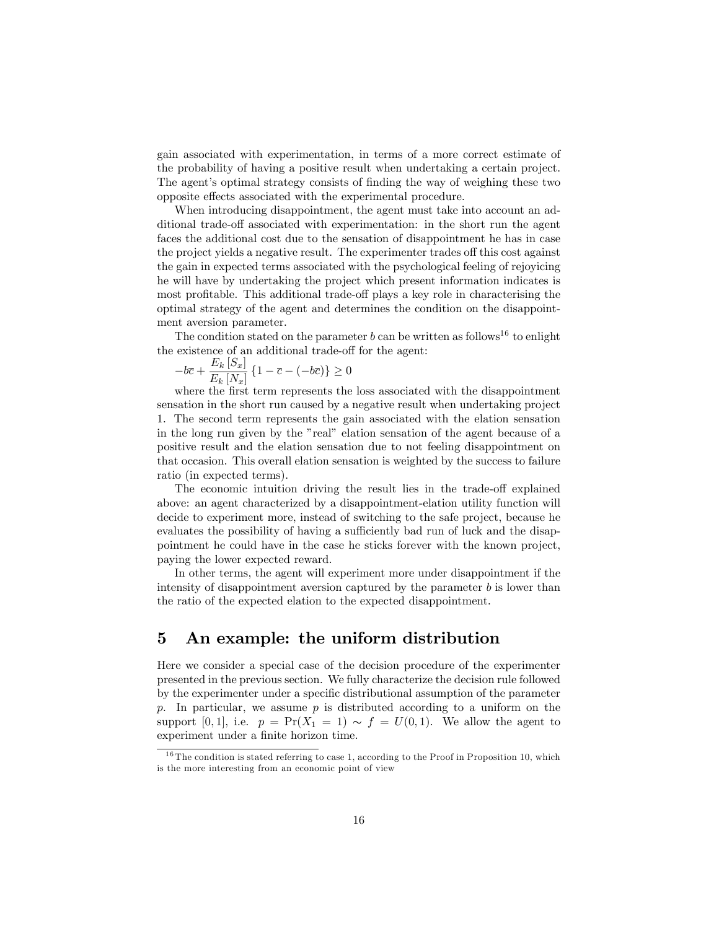gain associated with experimentation, in terms of a more correct estimate of the probability of having a positive result when undertaking a certain project. The agent's optimal strategy consists of finding the way of weighing these two opposite effects associated with the experimental procedure.

When introducing disappointment, the agent must take into account an additional trade-off associated with experimentation: in the short run the agent faces the additional cost due to the sensation of disappointment he has in case the project yields a negative result. The experimenter trades off this cost against the gain in expected terms associated with the psychological feeling of rejoyicing he will have by undertaking the project which present information indicates is most profitable. This additional trade-off plays a key role in characterising the optimal strategy of the agent and determines the condition on the disappointment aversion parameter.

The condition stated on the parameter  $b$  can be written as follows<sup>16</sup> to enlight the existence of an additional trade-off for the agent:

$$
-b\overline{c} + \frac{E_k[S_x]}{E_k[N_x]} \left\{ 1 - \overline{c} - (-b\overline{c}) \right\} \ge 0
$$

where the first term represents the loss associated with the disappointment sensation in the short run caused by a negative result when undertaking project 1. The second term represents the gain associated with the elation sensation in the long run given by the "real" elation sensation of the agent because of a positive result and the elation sensation due to not feeling disappointment on that occasion. This overall elation sensation is weighted by the success to failure ratio (in expected terms).

The economic intuition driving the result lies in the trade-off explained above: an agent characterized by a disappointment-elation utility function will decide to experiment more, instead of switching to the safe project, because he evaluates the possibility of having a sufficiently bad run of luck and the disappointment he could have in the case he sticks forever with the known project, paying the lower expected reward.

In other terms, the agent will experiment more under disappointment if the intensity of disappointment aversion captured by the parameter  $b$  is lower than the ratio of the expected elation to the expected disappointment.

## 5 An example: the uniform distribution

Here we consider a special case of the decision procedure of the experimenter presented in the previous section. We fully characterize the decision rule followed by the experimenter under a speciÖc distributional assumption of the parameter p. In particular, we assume  $p$  is distributed according to a uniform on the support [0, 1], i.e.  $p = \Pr(X_1 = 1) \sim f = U(0, 1)$ . We allow the agent to experiment under a finite horizon time.

 $16$  The condition is stated referring to case 1, according to the Proof in Proposition 10, which is the more interesting from an economic point of view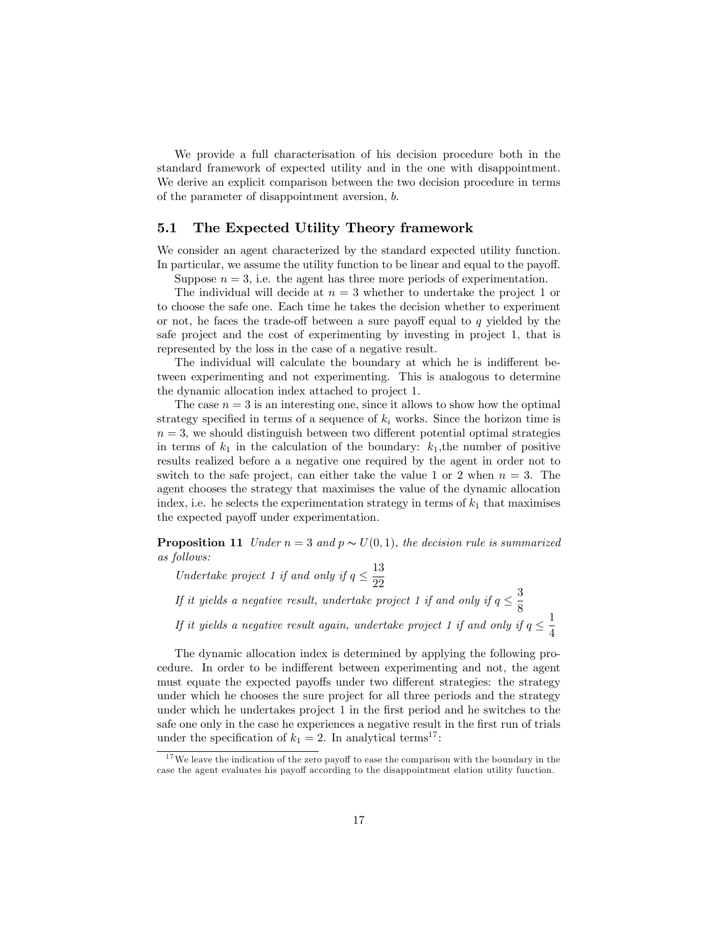We provide a full characterisation of his decision procedure both in the standard framework of expected utility and in the one with disappointment. We derive an explicit comparison between the two decision procedure in terms of the parameter of disappointment aversion, b.

### 5.1 The Expected Utility Theory framework

We consider an agent characterized by the standard expected utility function. In particular, we assume the utility function to be linear and equal to the payoff.

Suppose  $n = 3$ , i.e. the agent has three more periods of experimentation.

The individual will decide at  $n = 3$  whether to undertake the project 1 or to choose the safe one. Each time he takes the decision whether to experiment or not, he faces the trade-off between a sure payoff equal to q yielded by the safe project and the cost of experimenting by investing in project 1, that is represented by the loss in the case of a negative result.

The individual will calculate the boundary at which he is indifferent between experimenting and not experimenting. This is analogous to determine the dynamic allocation index attached to project 1.

The case  $n = 3$  is an interesting one, since it allows to show how the optimal strategy specified in terms of a sequence of  $k_i$  works. Since the horizon time is  $n = 3$ , we should distinguish between two different potential optimal strategies in terms of  $k_1$  in the calculation of the boundary:  $k_1$ , the number of positive results realized before a a negative one required by the agent in order not to switch to the safe project, can either take the value 1 or 2 when  $n = 3$ . The agent chooses the strategy that maximises the value of the dynamic allocation index, i.e. he selects the experimentation strategy in terms of  $k_1$  that maximises the expected payoff under experimentation.

**Proposition 11** Under  $n = 3$  and  $p \sim U(0, 1)$ , the decision rule is summarized as follows:

Undertake project 1 if and only if  $q \leq \frac{13}{22}$ 22

If it yields a negative result, undertake project 1 if and only if  $q \leq \frac{3}{8}$ 8

If it yields a negative result again, undertake project 1 if and only if  $q \leq \frac{1}{4}$ 4

The dynamic allocation index is determined by applying the following procedure. In order to be indifferent between experimenting and not, the agent must equate the expected payoffs under two different strategies: the strategy under which he chooses the sure project for all three periods and the strategy under which he undertakes project 1 in the first period and he switches to the safe one only in the case he experiences a negative result in the first run of trials under the specification of  $k_1 = 2$ . In analytical terms<sup>17</sup>:

 $17$  We leave the indication of the zero payoff to ease the comparison with the boundary in the case the agent evaluates his payoff according to the disappointment elation utility function.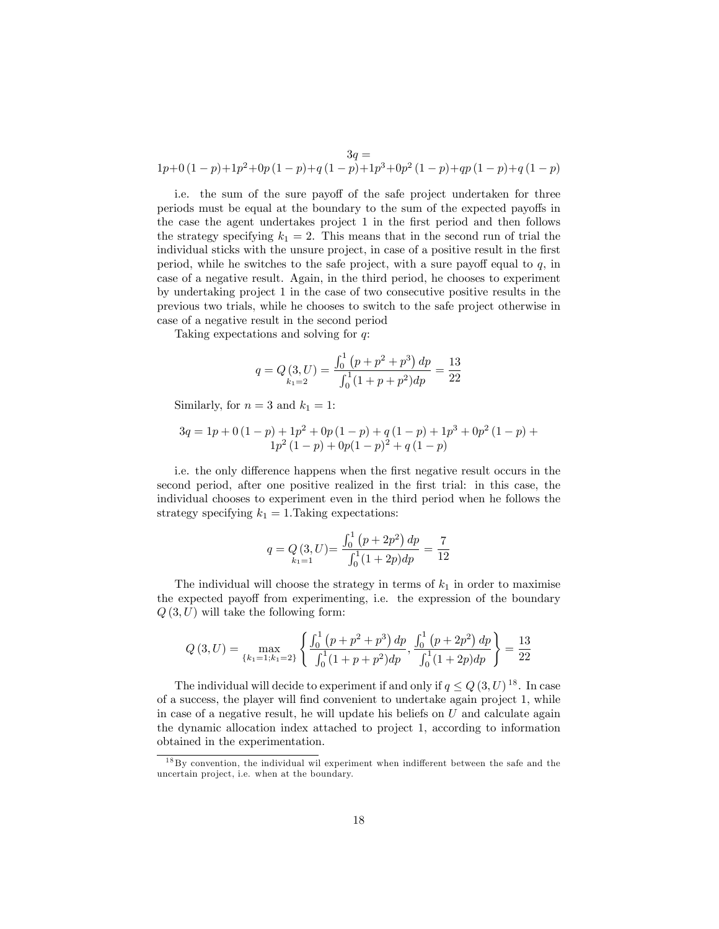$$
3q =
$$
  
1p+0(1-p)+1p<sup>2</sup>+0p(1-p)+q(1-p)+1p<sup>3</sup>+0p<sup>2</sup>(1-p)+qp(1-p)+q(1-p)

i.e. the sum of the sure payoff of the safe project undertaken for three periods must be equal at the boundary to the sum of the expected payoffs in the case the agent undertakes project 1 in the first period and then follows the strategy specifying  $k_1 = 2$ . This means that in the second run of trial the individual sticks with the unsure project, in case of a positive result in the first period, while he switches to the safe project, with a sure payoff equal to  $q$ , in case of a negative result. Again, in the third period, he chooses to experiment by undertaking project 1 in the case of two consecutive positive results in the previous two trials, while he chooses to switch to the safe project otherwise in case of a negative result in the second period

Taking expectations and solving for q:

$$
q = Q\left(3, U\right) = \frac{\int_0^1 \left(p + p^2 + p^3\right) dp}{\int_0^1 (1 + p + p^2) dp} = \frac{13}{22}
$$

Similarly, for  $n = 3$  and  $k_1 = 1$ :

$$
3q = 1p + 0(1 - p) + 1p^{2} + 0p(1 - p) + q(1 - p) + 1p^{3} + 0p^{2}(1 - p) + 1p^{2}(1 - p) + 0p(1 - p)^{2} + q(1 - p)
$$

i.e. the only difference happens when the first negative result occurs in the second period, after one positive realized in the Örst trial: in this case, the individual chooses to experiment even in the third period when he follows the strategy specifying  $k_1 = 1$ . Taking expectations:

$$
q = Q(3, U) = \frac{\int_0^1 (p + 2p^2) dp}{\int_0^1 (1 + 2p) dp} = \frac{7}{12}
$$

The individual will choose the strategy in terms of  $k_1$  in order to maximise the expected payoff from experimenting, i.e. the expression of the boundary  $Q(3, U)$  will take the following form:

$$
Q(3, U) = \max_{\{k_1 = 1; k_1 = 2\}} \left\{ \frac{\int_0^1 (p + p^2 + p^3) dp}{\int_0^1 (1 + p + p^2) dp}, \frac{\int_0^1 (p + 2p^2) dp}{\int_0^1 (1 + 2p) dp} \right\} = \frac{13}{22}
$$

The individual will decide to experiment if and only if  $q \leq Q(3, U)^{18}$ . In case of a success, the player will find convenient to undertake again project 1, while in case of a negative result, he will update his beliefs on  $U$  and calculate again the dynamic allocation index attached to project 1, according to information obtained in the experimentation.

 $18\,\text{By convention, the individual will experiment when indifferent between the safe and the$ uncertain project, i.e. when at the boundary.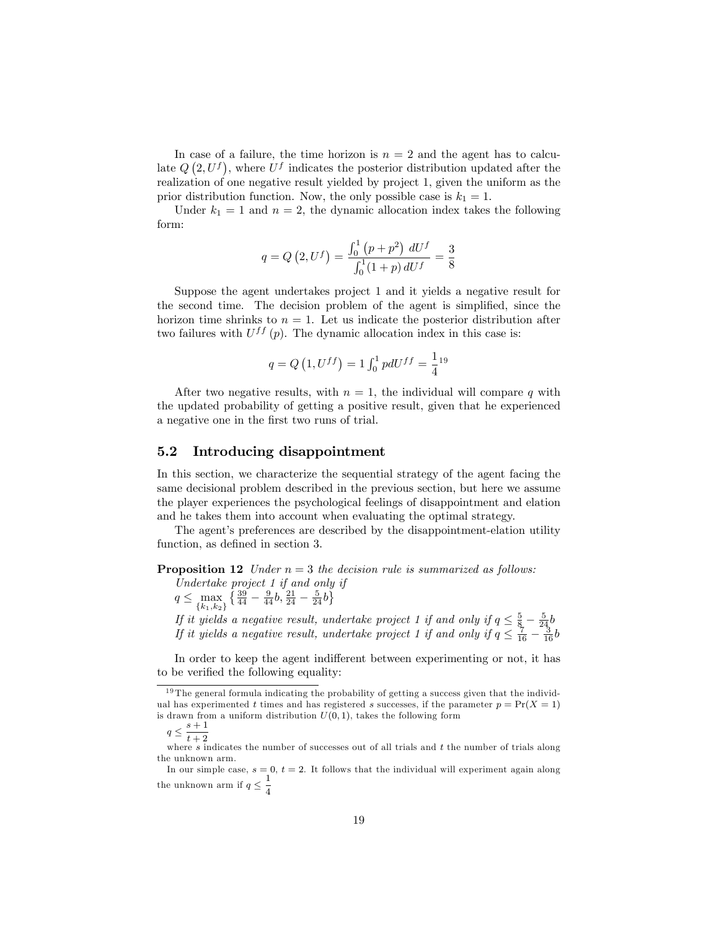In case of a failure, the time horizon is  $n = 2$  and the agent has to calculate  $Q(2, U<sup>f</sup>)$ , where  $U<sup>f</sup>$  indicates the posterior distribution updated after the realization of one negative result yielded by project 1, given the uniform as the prior distribution function. Now, the only possible case is  $k_1 = 1$ .

Under  $k_1 = 1$  and  $n = 2$ , the dynamic allocation index takes the following form:

$$
q = Q\left(2, U^f\right) = \frac{\int_0^1 \left(p + p^2\right) dU^f}{\int_0^1 (1 + p) dU^f} = \frac{3}{8}
$$

Suppose the agent undertakes project 1 and it yields a negative result for the second time. The decision problem of the agent is simplified, since the horizon time shrinks to  $n = 1$ . Let us indicate the posterior distribution after two failures with  $U^{ff}(p)$ . The dynamic allocation index in this case is:

$$
q = Q\left(1, U^{ff}\right) = 1 \int_0^1 pdU^{ff} = \frac{1}{4}^{19}
$$

After two negative results, with  $n = 1$ , the individual will compare q with the updated probability of getting a positive result, given that he experienced a negative one in the Örst two runs of trial.

### 5.2 Introducing disappointment

In this section, we characterize the sequential strategy of the agent facing the same decisional problem described in the previous section, but here we assume the player experiences the psychological feelings of disappointment and elation and he takes them into account when evaluating the optimal strategy.

The agent's preferences are described by the disappointment-elation utility function, as defined in section 3.

**Proposition 12** Under  $n = 3$  the decision rule is summarized as follows:

Undertake project 1 if and only if  $q \leq \max_{\{k_1,k_2\}}$  $\left\{\frac{39}{44}-\frac{9}{44}b,\frac{21}{24}-\frac{5}{24}b\right\}$ 

If it yields a negative result, undertake project 1 if and only if  $q \leq \frac{5}{8} - \frac{5}{24}b$ If it yields a negative result, undertake project 1 if and only if  $q \leq \frac{7}{16} - \frac{3}{16}b$ 

In order to keep the agent indifferent between experimenting or not, it has to be verified the following equality:

$$
q \le \frac{s+1}{t+2}
$$

 $19$  The general formula indicating the probability of getting a success given that the individual has experimented t times and has registered s successes, if the parameter  $p = Pr(X = 1)$ is drawn from a uniform distribution  $U(0, 1)$ , takes the following form

 $q \n\t\leq \frac{q+2}{t+2}$ <br>where s indicates the number of successes out of all trials and t the number of trials along the unknown arm.

In our simple case,  $s = 0, t = 2$ . It follows that the individual will experiment again along the unknown arm if  $q \leq \frac{1}{4}$ 4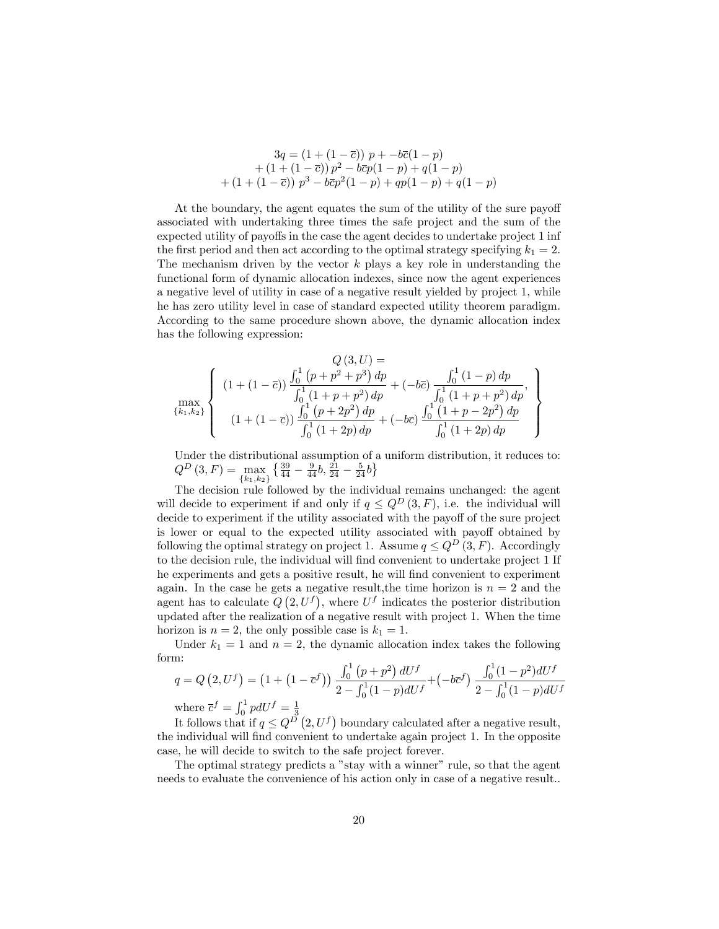$$
3q = (1 + (1 - \overline{c})) p + -b\overline{c}(1 - p)
$$
  
+ (1 + (1 - \overline{c})) p<sup>2</sup> - b\overline{c}p(1 - p) + q(1 - p)  
+ (1 + (1 - \overline{c})) p<sup>3</sup> - b\overline{c}p<sup>2</sup>(1 - p) + qp(1 - p) + q(1 - p)

At the boundary, the agent equates the sum of the utility of the sure payoff associated with undertaking three times the safe project and the sum of the expected utility of payoffs in the case the agent decides to undertake project 1 inf the first period and then act according to the optimal strategy specifying  $k_1 = 2$ . The mechanism driven by the vector  $k$  plays a key role in understanding the functional form of dynamic allocation indexes, since now the agent experiences a negative level of utility in case of a negative result yielded by project 1, while he has zero utility level in case of standard expected utility theorem paradigm. According to the same procedure shown above, the dynamic allocation index has the following expression:

$$
Q(3, U) =
$$
\n
$$
\max_{\{k_1, k_2\}} \left\{ \begin{array}{c} (1 + (1 - \overline{c})) \frac{\int_0^1 (p + p^2 + p^3) dp}{\int_0^1 (1 + p + p^2) dp} + (-b\overline{c}) \frac{\int_0^1 (1 - p) dp}{\int_0^1 (1 + p + p^2) dp}, \\ (1 + (1 - \overline{c})) \frac{\int_0^1 (p + 2p^2) dp}{\int_0^1 (1 + 2p) dp} + (-b\overline{c}) \frac{\int_0^1 (1 + p - 2p^2) dp}{\int_0^1 (1 + 2p) dp} \end{array} \right\}
$$

Under the distributional assumption of a uniform distribution, it reduces to:  $Q^D(3,F) = \max$  ${k_1,k_2}$  $\left\{\frac{39}{44}-\frac{9}{44}b,\frac{21}{24}-\frac{5}{24}b\right\}$ 

The decision rule followed by the individual remains unchanged: the agent will decide to experiment if and only if  $q \leq Q^D(3, F)$ , i.e. the individual will decide to experiment if the utility associated with the payoff of the sure project is lower or equal to the expected utility associated with payoff obtained by following the optimal strategy on project 1. Assume  $q \leq Q^D(3, F)$ . Accordingly to the decision rule, the individual will find convenient to undertake project 1 If he experiments and gets a positive result, he will find convenient to experiment again. In the case he gets a negative result, the time horizon is  $n = 2$  and the agent has to calculate  $\overline{Q}(2, U^f)$ , where  $U^f$  indicates the posterior distribution updated after the realization of a negative result with project 1. When the time horizon is  $n = 2$ , the only possible case is  $k_1 = 1$ .

Under  $k_1 = 1$  and  $n = 2$ , the dynamic allocation index takes the following form:

$$
q = Q\left(2, U^f\right) = \left(1 + \left(1 - \overline{c}^f\right)\right) \frac{\int_0^1 \left(p + p^2\right) dU^f}{2 - \int_0^1 (1 - p) dU^f} + \left(-b\overline{c}^f\right) \frac{\int_0^1 (1 - p^2) dU^f}{2 - \int_0^1 (1 - p) dU^f}
$$

where  $\bar{c}^f = \int_0^1 pdU^f = \frac{1}{3}$ <br>It follows that if  $q \leq Q^D(2, U^f)$  boundary calculated after a negative result, the individual will Önd convenient to undertake again project 1. In the opposite case, he will decide to switch to the safe project forever.

The optimal strategy predicts a "stay with a winner" rule, so that the agent needs to evaluate the convenience of his action only in case of a negative result..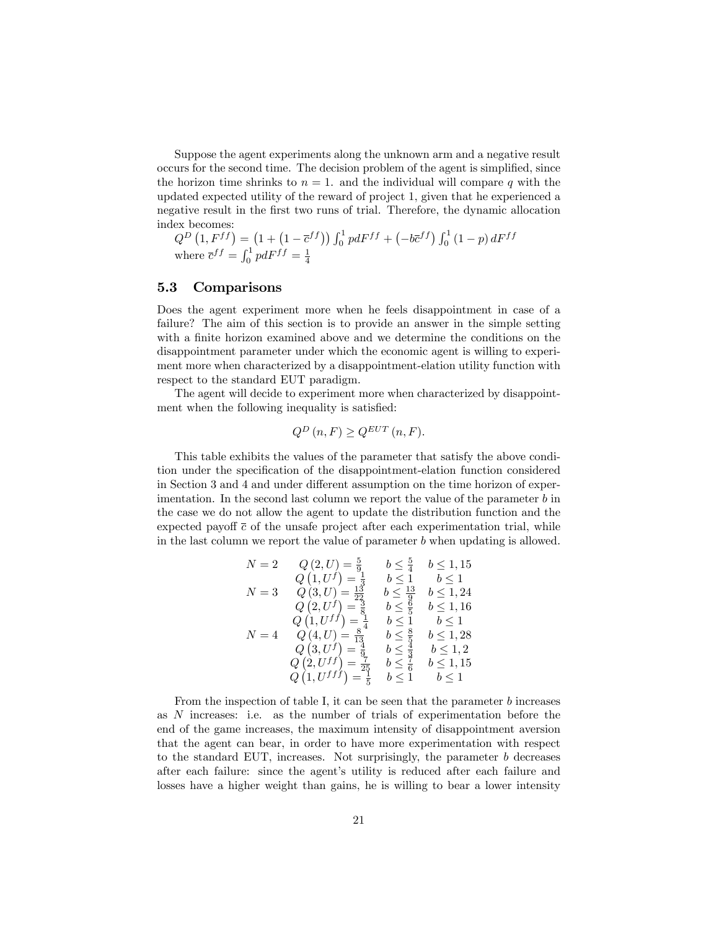Suppose the agent experiments along the unknown arm and a negative result occurs for the second time. The decision problem of the agent is simplified, since the horizon time shrinks to  $n = 1$ , and the individual will compare q with the updated expected utility of the reward of project 1, given that he experienced a negative result in the first two runs of trial. Therefore, the dynamic allocation index becomes:

 $Q^{D}\left(1,F^{ff}\right)=\left(1+\left(1-\overline{c}^{ff}\right)\right)\int_{0}^{1}pdF^{ff}+\left(-b\overline{c}^{ff}\right)\int_{0}^{1}\left(1-p\right)dF^{ff}$ where  $\overline{c}^{ff} = \int_0^1 pdF^{ff} = \frac{1}{4}$ 

### 5.3 Comparisons

Does the agent experiment more when he feels disappointment in case of a failure? The aim of this section is to provide an answer in the simple setting with a finite horizon examined above and we determine the conditions on the disappointment parameter under which the economic agent is willing to experiment more when characterized by a disappointment-elation utility function with respect to the standard EUT paradigm.

The agent will decide to experiment more when characterized by disappointment when the following inequality is satisfied:

$$
Q^{D}\left(n,F\right) \geq Q^{EUT}\left(n,F\right).
$$

This table exhibits the values of the parameter that satisfy the above condition under the specification of the disappointment-elation function considered in Section 3 and 4 and under different assumption on the time horizon of experimentation. In the second last column we report the value of the parameter  $b$  in the case we do not allow the agent to update the distribution function and the expected payoff  $\bar{c}$  of the unsafe project after each experimentation trial, while in the last column we report the value of parameter b when updating is allowed.

$$
N = 2 \tQ(2, U) = \frac{5}{9} \t b \le \frac{5}{4} \t b \le 1, 15
$$
  
\n
$$
Q(1, U^f) = \frac{1}{3} \t b \le 1 \t b \le 1
$$
  
\n
$$
N = 3 \tQ(3, U) = \frac{13}{23} \t b \le \frac{13}{9} \t b \le 1, 24
$$
  
\n
$$
Q(2, U^f) = \frac{3}{8} \t b \le \frac{8}{5} \t b \le 1, 16
$$
  
\n
$$
Q(1, U^{ff}) = \frac{1}{4} \t b \le 1 \t b \le 1
$$
  
\n
$$
N = 4 \tQ(4, U) = \frac{8}{13} \t b \le \frac{8}{5} \t b \le 1, 28
$$
  
\n
$$
Q(3, U^f) = \frac{4}{9} \t b \le \frac{8}{3} \t b \le 1, 2
$$
  
\n
$$
Q(2, U^{ff}) = \frac{7}{25} \t b \le \frac{7}{6} \t b \le 1, 15
$$
  
\n
$$
Q(1, U^{ff}) = \frac{7}{5} \t b \le 1 \t b \le 1
$$

From the inspection of table I, it can be seen that the parameter b increases as N increases: i.e. as the number of trials of experimentation before the end of the game increases, the maximum intensity of disappointment aversion that the agent can bear, in order to have more experimentation with respect to the standard EUT, increases. Not surprisingly, the parameter  $b$  decreases after each failure: since the agent's utility is reduced after each failure and losses have a higher weight than gains, he is willing to bear a lower intensity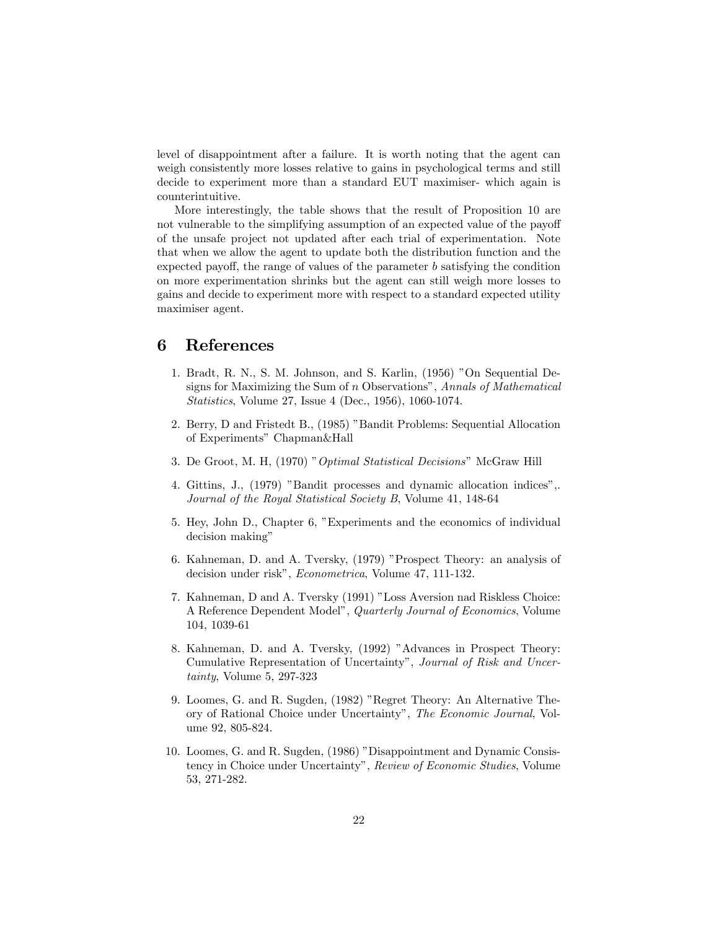level of disappointment after a failure. It is worth noting that the agent can weigh consistently more losses relative to gains in psychological terms and still decide to experiment more than a standard EUT maximiser- which again is counterintuitive.

More interestingly, the table shows that the result of Proposition 10 are not vulnerable to the simplifying assumption of an expected value of the payoff of the unsafe project not updated after each trial of experimentation. Note that when we allow the agent to update both the distribution function and the expected payoff, the range of values of the parameter  $b$  satisfying the condition on more experimentation shrinks but the agent can still weigh more losses to gains and decide to experiment more with respect to a standard expected utility maximiser agent.

## 6 References

- 1. Bradt, R. N., S. M. Johnson, and S. Karlin, (1956) "On Sequential Designs for Maximizing the Sum of  $n$  Observations", Annals of Mathematical Statistics, Volume 27, Issue 4 (Dec., 1956), 1060-1074.
- 2. Berry, D and Fristedt B., (1985) "Bandit Problems: Sequential Allocation of Experiments" Chapman&Hall
- 3. De Groot, M. H, (1970) " Optimal Statistical Decisions" McGraw Hill
- 4. Gittins, J., (1979) "Bandit processes and dynamic allocation indices",. Journal of the Royal Statistical Society B, Volume 41, 148-64
- 5. Hey, John D., Chapter 6, "Experiments and the economics of individual decision making"
- 6. Kahneman, D. and A. Tversky, (1979) "Prospect Theory: an analysis of decision under risk", Econometrica, Volume 47, 111-132.
- 7. Kahneman, D and A. Tversky (1991) "Loss Aversion nad Riskless Choice: A Reference Dependent Model", Quarterly Journal of Economics, Volume 104, 1039-61
- 8. Kahneman, D. and A. Tversky, (1992) "Advances in Prospect Theory: Cumulative Representation of Uncertainty", Journal of Risk and Uncertainty, Volume 5, 297-323
- 9. Loomes, G. and R. Sugden, (1982) "Regret Theory: An Alternative Theory of Rational Choice under Uncertainty", The Economic Journal, Volume 92, 805-824.
- 10. Loomes, G. and R. Sugden, (1986) "Disappointment and Dynamic Consistency in Choice under Uncertainty", Review of Economic Studies, Volume 53, 271-282.